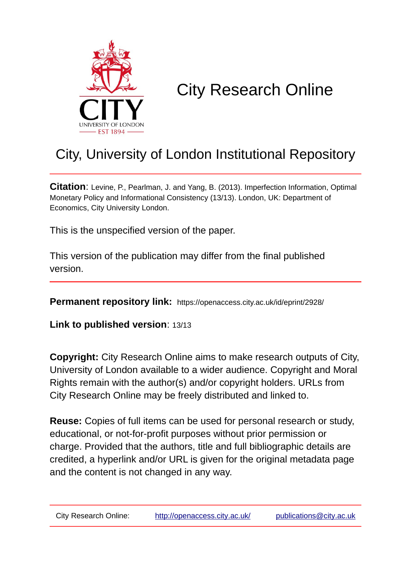

# City Research Online

# City, University of London Institutional Repository

**Citation**: Levine, P., Pearlman, J. and Yang, B. (2013). Imperfection Information, Optimal Monetary Policy and Informational Consistency (13/13). London, UK: Department of Economics, City University London.

This is the unspecified version of the paper.

This version of the publication may differ from the final published version.

**Permanent repository link:** https://openaccess.city.ac.uk/id/eprint/2928/

**Link to published version**: 13/13

**Copyright:** City Research Online aims to make research outputs of City, University of London available to a wider audience. Copyright and Moral Rights remain with the author(s) and/or copyright holders. URLs from City Research Online may be freely distributed and linked to.

**Reuse:** Copies of full items can be used for personal research or study, educational, or not-for-profit purposes without prior permission or charge. Provided that the authors, title and full bibliographic details are credited, a hyperlink and/or URL is given for the original metadata page and the content is not changed in any way.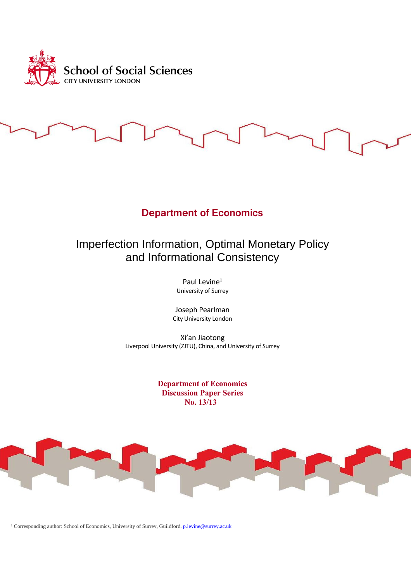

# **Department of Economics**

# Imperfection Information, Optimal Monetary Policy and Informational Consistency

Paul Levine<sup>1</sup> University of Surrey

Joseph Pearlman City University London

Xi'an Jiaotong Liverpool University (ZJTU), China, and University of Surrey

> **Department of Economics Discussion Paper Series No. 13/13**



<sup>1</sup> Corresponding author: School of Economics, University of Surrey, Guildford. **p.levine@surrey.ac.uk**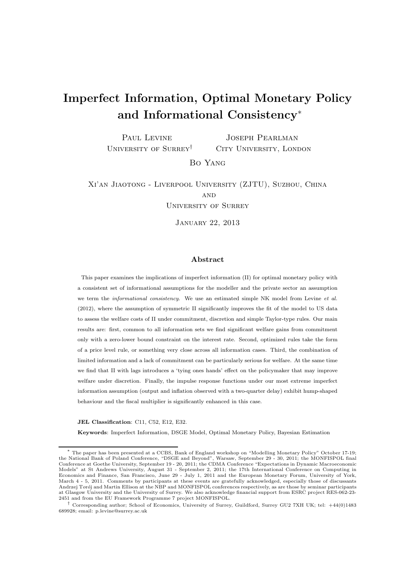# Imperfect Information, Optimal Monetary Policy and Informational Consistency<sup>∗</sup>

PAUL LEVINE University of Surrey† Joseph Pearlman CITY UNIVERSITY, LONDON

Bo Yang

Xi'an Jiaotong - Liverpool University (ZJTU), Suzhou, China **AND** University of Surrey

January 22, 2013

### Abstract

This paper examines the implications of imperfect information (II) for optimal monetary policy with a consistent set of informational assumptions for the modeller and the private sector an assumption we term the *informational consistency*. We use an estimated simple NK model from Levine *et al.* (2012), where the assumption of symmetric II significantly improves the fit of the model to US data to assess the welfare costs of II under commitment, discretion and simple Taylor-type rules. Our main results are: first, common to all information sets we find significant welfare gains from commitment only with a zero-lower bound constraint on the interest rate. Second, optimized rules take the form of a price level rule, or something very close across all information cases. Third, the combination of limited information and a lack of commitment can be particularly serious for welfare. At the same time we find that II with lags introduces a 'tying ones hands' effect on the policymaker that may improve welfare under discretion. Finally, the impulse response functions under our most extreme imperfect information assumption (output and inflation observed with a two-quarter delay) exhibit hump-shaped behaviour and the fiscal multiplier is significantly enhanced in this case.

#### JEL Classification: C11, C52, E12, E32.

Keywords: Imperfect Information, DSGE Model, Optimal Monetary Policy, Bayesian Estimation

<sup>∗</sup> The paper has been presented at a CCBS, Bank of England workshop on "Modelling Monetary Policy" October 17-19; the National Bank of Poland Conference, "DSGE and Beyond", Warsaw, September 29 - 30, 2011; the MONFISPOL final Conference at Goethe University, September 19 - 20, 2011; the CDMA Conference "Expectations in Dynamic Macroeconomic Models" at St Andrews University, August 31 - September 2, 2011; the 17th International Conference on Computing in Economics and Finance, San Francisco, June 29 - July 1, 2011 and the European Monetary Forum, University of York, March 4 - 5, 2011. Comments by participants at these events are gratefully acknowledged, especially those of discussants Andrzej Torój and Martin Ellison at the NBP and MONFISPOL conferences respectively, as are those by seminar participants at Glasgow University and the University of Surrey. We also acknowledge financial support from ESRC project RES-062-23- 2451 and from the EU Framework Programme 7 project MONFISPOL.

<sup>†</sup> Corresponding author; School of Economics, University of Surrey, Guildford, Surrey GU2 7XH UK; tel: +44(0)1483 689928; email: p.levine@surrey.ac.uk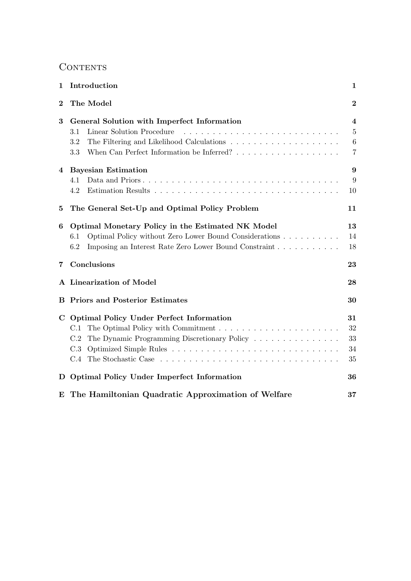# **CONTENTS**

| 1           | Introduction                                                  | 1               |
|-------------|---------------------------------------------------------------|-----------------|
| $\bf{2}$    | The Model                                                     | $\bf{2}$        |
| 3           | General Solution with Imperfect Information                   | 4               |
|             | Linear Solution Procedure<br>3.1                              | $\bf 5$         |
|             | 3.2                                                           | $6\phantom{.}6$ |
|             | 3.3                                                           | $\overline{7}$  |
| 4           | <b>Bayesian Estimation</b>                                    | 9               |
|             | 4.1                                                           | 9               |
|             | 4.2                                                           | 10              |
| 5           | The General Set-Up and Optimal Policy Problem                 | 11              |
| 6           | Optimal Monetary Policy in the Estimated NK Model             | 13              |
|             | Optimal Policy without Zero Lower Bound Considerations<br>6.1 | 14              |
|             | 6.2<br>Imposing an Interest Rate Zero Lower Bound Constraint  | 18              |
| 7           | Conclusions                                                   | 23              |
|             | A Linearization of Model                                      | 28              |
|             | <b>B</b> Priors and Posterior Estimates                       | 30              |
| $\mathbf C$ | <b>Optimal Policy Under Perfect Information</b>               | 31              |
|             | C.1                                                           | 32              |
|             | The Dynamic Programming Discretionary Policy<br>C.2           | 33              |
|             | C.3                                                           | 34              |
|             | C.4                                                           | 35              |
| D           | <b>Optimal Policy Under Imperfect Information</b>             | 36              |
| E           | The Hamiltonian Quadratic Approximation of Welfare            | $37\,$          |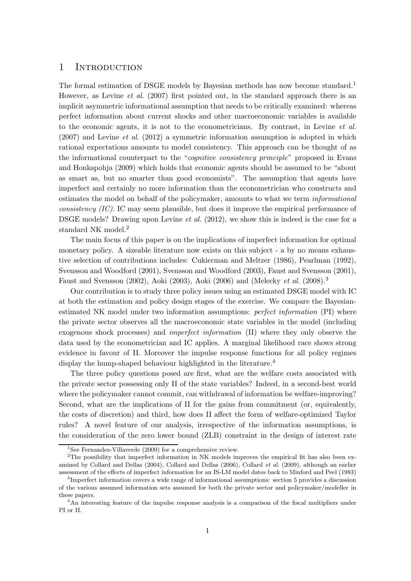## 1 INTRODUCTION

The formal estimation of DSGE models by Bayesian methods has now become standard.<sup>1</sup> However, as Levine *et al.* (2007) first pointed out, in the standard approach there is an implicit asymmetric informational assumption that needs to be critically examined: whereas perfect information about current shocks and other macroeconomic variables is available to the economic agents, it is not to the econometricians. By contrast, in Levine et al.  $(2007)$  and Levine *et al.*  $(2012)$  a symmetric information assumption is adopted in which rational expectations amounts to model consistency. This approach can be thought of as the informational counterpart to the "cognitive consistency principle" proposed in Evans and Honkapohja (2009) which holds that economic agents should be assumed to be "about as smart as, but no smarter than good economists". The assumption that agents have imperfect and certainly no more information than the econometrician who constructs and estimates the model on behalf of the policymaker, amounts to what we term *informational*  $consistency (IC)$ . IC may seem plausible, but does it improve the empirical performance of DSGE models? Drawing upon Levine *et al.* (2012), we show this is indeed is the case for a standard NK model.<sup>2</sup>

The main focus of this paper is on the implications of imperfect information for optimal monetary policy. A sizeable literature now exists on this subject - a by no means exhaustive selection of contributions includes: Cukierman and Meltzer (1986), Pearlman (1992), Svensson and Woodford (2001), Svensson and Woodford (2003), Faust and Svensson (2001), Faust and Svensson (2002), Aoki (2003), Aoki (2006) and (Melecky et al. (2008).<sup>3</sup>

Our contribution is to study three policy issues using an estimated DSGE model with IC at both the estimation and policy design stages of the exercise. We compare the Bayesianestimated NK model under two information assumptions: *perfect information* (PI) where the private sector observes all the macroeconomic state variables in the model (including exogenous shock processes) and imperfect information (II) where they only observe the data used by the econometrician and IC applies. A marginal likelihood race shows strong evidence in favour of II. Moreover the impulse response functions for all policy regimes display the hump-shaped behaviour highlighted in the literature.<sup>4</sup>

The three policy questions posed are first, what are the welfare costs associated with the private sector possessing only II of the state variables? Indeed, in a second-best world where the policymaker cannot commit, can withdrawal of information be welfare-improving? Second, what are the implications of II for the gains from commitment (or, equivalently, the costs of discretion) and third, how does II affect the form of welfare-optimized Taylor rules? A novel feature of our analysis, irrespective of the information assumptions, is the consideration of the zero lower bound (ZLB) constraint in the design of interest rate

<sup>&</sup>lt;sup>1</sup>See Fernandez-Villaverde (2009) for a comprehensive review.

<sup>&</sup>lt;sup>2</sup>The possibility that imperfect information in NK models improves the empirical fit has also been examined by Collard and Dellas (2004), Collard and Dellas (2006), Collard et al. (2009), although an earlier assessment of the effects of imperfect information for an IS-LM model dates back to Minford and Peel (1983)

<sup>&</sup>lt;sup>3</sup>Imperfect information covers a wide range of informational assumptions: section 5 provides a discussion of the various assumed information sets assumed for both the private sector and policymaker/modeller in these papers.

<sup>&</sup>lt;sup>4</sup>An interesting feature of the impulse response analysis is a comparison of the fiscal multipliers under PI or II.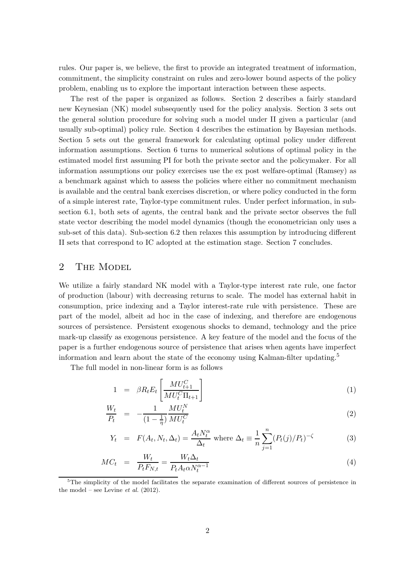rules. Our paper is, we believe, the first to provide an integrated treatment of information, commitment, the simplicity constraint on rules and zero-lower bound aspects of the policy problem, enabling us to explore the important interaction between these aspects.

The rest of the paper is organized as follows. Section 2 describes a fairly standard new Keynesian (NK) model subsequently used for the policy analysis. Section 3 sets out the general solution procedure for solving such a model under II given a particular (and usually sub-optimal) policy rule. Section 4 describes the estimation by Bayesian methods. Section 5 sets out the general framework for calculating optimal policy under different information assumptions. Section 6 turns to numerical solutions of optimal policy in the estimated model first assuming PI for both the private sector and the policymaker. For all information assumptions our policy exercises use the ex post welfare-optimal (Ramsey) as a benchmark against which to assess the policies where either no commitment mechanism is available and the central bank exercises discretion, or where policy conducted in the form of a simple interest rate, Taylor-type commitment rules. Under perfect information, in subsection 6.1, both sets of agents, the central bank and the private sector observes the full state vector describing the model model dynamics (though the econometrician only uses a sub-set of this data). Sub-section 6.2 then relaxes this assumption by introducing different II sets that correspond to IC adopted at the estimation stage. Section 7 concludes.

# 2 THE MODEL

We utilize a fairly standard NK model with a Taylor-type interest rate rule, one factor of production (labour) with decreasing returns to scale. The model has external habit in consumption, price indexing and a Taylor interest-rate rule with persistence. These are part of the model, albeit ad hoc in the case of indexing, and therefore are endogenous sources of persistence. Persistent exogenous shocks to demand, technology and the price mark-up classify as exogenous persistence. A key feature of the model and the focus of the paper is a further endogenous source of persistence that arises when agents have imperfect information and learn about the state of the economy using Kalman-filter updating.<sup>5</sup>

The full model in non-linear form is as follows

$$
1 = \beta R_t E_t \left[ \frac{M U_{t+1}^C}{M U_t^C \Pi_{t+1}} \right] \tag{1}
$$

$$
\frac{W_t}{P_t} = -\frac{1}{(1 - \frac{1}{\eta})} \frac{M U_t^N}{M U_t^C}
$$
\n(2)

$$
Y_t = F(A_t, N_t, \Delta_t) = \frac{A_t N_t^{\alpha}}{\Delta_t} \text{ where } \Delta_t \equiv \frac{1}{n} \sum_{j=1}^n (P_t(j)/P_t)^{-\zeta}
$$
 (3)

$$
MC_t = \frac{W_t}{P_t F_{N,t}} = \frac{W_t \Delta_t}{P_t A_t \alpha N_t^{\alpha - 1}}
$$
\n
$$
\tag{4}
$$

 $5$ The simplicity of the model facilitates the separate examination of different sources of persistence in the model – see Levine *et al.*  $(2012)$ .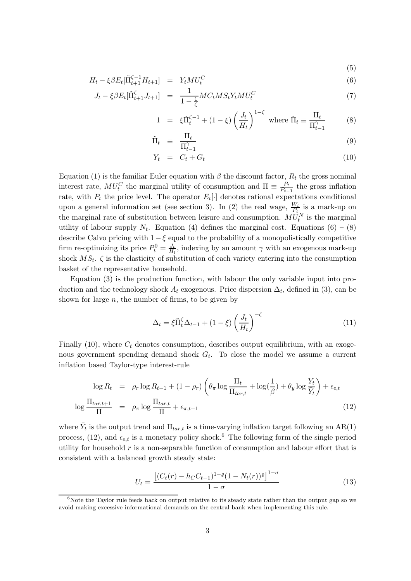$$
H_t - \xi \beta E_t [\tilde{\Pi}_{t+1}^{\zeta - 1} H_{t+1}] = Y_t M U_t^C
$$
\n(6)

$$
J_t - \xi \beta E_t[\tilde{\Pi}_{t+1}^{\zeta} J_{t+1}] = \frac{1}{1 - \frac{1}{\zeta}} MC_t MS_t Y_t MU_t^C
$$
(7)

$$
1 = \xi \tilde{\Pi}_t^{\zeta - 1} + (1 - \xi) \left( \frac{J_t}{H_t} \right)^{1 - \zeta} \text{ where } \tilde{\Pi}_t \equiv \frac{\Pi_t}{\Pi_{t-1}^{\gamma}} \tag{8}
$$

 $(E)$ 

$$
\tilde{\Pi}_t \equiv \frac{\Pi_t}{\Pi_{t-1}^{\gamma}} \tag{9}
$$

$$
Y_t = C_t + G_t \tag{10}
$$

Equation (1) is the familiar Euler equation with  $\beta$  the discount factor,  $R_t$  the gross nominal interest rate,  $MU_t^C$  the marginal utility of consumption and  $\Pi \equiv \frac{P_t}{P_{t-1}}$  $\frac{P_t}{P_{t-1}}$  the gross inflation rate, with  $P_t$  the price level. The operator  $E_t[\cdot]$  denotes rational expectations conditional upon a general information set (see section 3). In (2) the real wage,  $\frac{W_t}{P_t}$  is a mark-up on the marginal rate of substitution between leisure and consumption.  $MU_t^N$  is the marginal utility of labour supply  $N_t$ . Equation (4) defines the marginal cost. Equations (6) – (8) describe Calvo pricing with  $1-\xi$  equal to the probability of a monopolistically competitive firm re-optimizing its price  $P_t^0 = \frac{J_t}{H_t}$  $\frac{J_t}{H_t}$ , indexing by an amount  $\gamma$  with an exogenous mark-up shock  $MS_t$ .  $\zeta$  is the elasticity of substitution of each variety entering into the consumption basket of the representative household.

Equation (3) is the production function, with labour the only variable input into production and the technology shock  $A_t$  exogenous. Price dispersion  $\Delta_t$ , defined in (3), can be shown for large  $n$ , the number of firms, to be given by

$$
\Delta_t = \xi \tilde{\Pi}_t^{\zeta} \Delta_{t-1} + (1 - \xi) \left(\frac{J_t}{H_t}\right)^{-\zeta}
$$
\n(11)

Finally (10), where  $C_t$  denotes consumption, describes output equilibrium, with an exogenous government spending demand shock  $G_t$ . To close the model we assume a current inflation based Taylor-type interest-rule

$$
\log R_t = \rho_r \log R_{t-1} + (1 - \rho_r) \left( \theta_\pi \log \frac{\Pi_t}{\Pi_{tar,t}} + \log(\frac{1}{\beta}) + \theta_y \log \frac{Y_t}{\overline{Y}_t} \right) + \epsilon_{e,t}
$$
  

$$
\log \frac{\Pi_{tar,t+1}}{\Pi} = \rho_\pi \log \frac{\Pi_{tar,t}}{\Pi} + \epsilon_{\pi,t+1}
$$
 (12)

where  $\bar{Y}_t$  is the output trend and  $\Pi_{tar,t}$  is a time-varying inflation target following an AR(1) process, (12), and  $\epsilon_{e,t}$  is a monetary policy shock.<sup>6</sup> The following form of the single period utility for household  $r$  is a non-separable function of consumption and labour effort that is consistent with a balanced growth steady state:

$$
U_t = \frac{\left[ (C_t(r) - h_C C_{t-1})^{1-\varrho} (1 - N_t(r))^\varrho \right]^{1-\sigma}}{1-\sigma} \tag{13}
$$

 $6\%$ Note the Taylor rule feeds back on output relative to its steady state rather than the output gap so we avoid making excessive informational demands on the central bank when implementing this rule.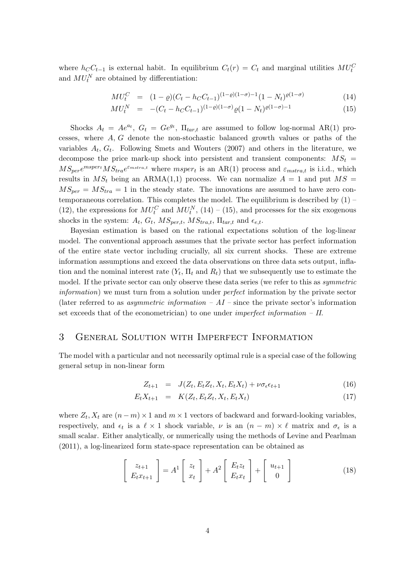where  $h_C C_{t-1}$  is external habit. In equilibrium  $C_t(r) = C_t$  and marginal utilities  $MU_t^C$ and  $MU_t^N$  are obtained by differentiation:

$$
MU_t^C = (1 - \varrho)(C_t - h_C C_{t-1})^{(1 - \varrho)(1 - \sigma) - 1}(1 - N_t)^{\varrho(1 - \sigma)}
$$
(14)

$$
MU_t^N = -(C_t - h_C C_{t-1})^{(1-\varrho)(1-\sigma)} \varrho (1 - N_t)^{\varrho(1-\sigma)-1}
$$
\n(15)

Shocks  $A_t = Ae^{at}$ ,  $G_t = Ge^{gt}$ ,  $\Pi_{tar,t}$  are assumed to follow log-normal AR(1) processes, where  $A, G$  denote the non-stochastic balanced growth values or paths of the variables  $A_t$ ,  $G_t$ . Following Smets and Wouters (2007) and others in the literature, we decompose the price mark-up shock into persistent and transient components:  $MS_t$  =  $MS_{per}e^{mspert}MS_{tra}e^{\varepsilon_{mstra,t}}$  where  $msper_t$  is an AR(1) process and  $\varepsilon_{mstra,t}$  is i.i.d., which results in  $MS_t$  being an ARMA(1,1) process. We can normalize  $A = 1$  and put  $MS =$  $MS_{per} = MS_{tra} = 1$  in the steady state. The innovations are assumed to have zero contemporaneous correlation. This completes the model. The equilibrium is described by  $(1)$  – (12), the expressions for  $MU_t^C$  and  $MU_t^N$ , (14) – (15), and processes for the six exogenous shocks in the system:  $A_t$ ,  $G_t$ ,  $MS_{per,t}$ ,  $MS_{tra,t}$ ,  $\Pi_{tar,t}$  and  $\epsilon_{e,t}$ .

Bayesian estimation is based on the rational expectations solution of the log-linear model. The conventional approach assumes that the private sector has perfect information of the entire state vector including crucially, all six current shocks. These are extreme information assumptions and exceed the data observations on three data sets output, inflation and the nominal interest rate  $(Y_t, \Pi_t \text{ and } R_t)$  that we subsequently use to estimate the model. If the private sector can only observe these data series (we refer to this as *symmetric* information) we must turn from a solution under perfect information by the private sector (later referred to as *asymmetric information – AI* – since the private sector's information set exceeds that of the econometrician) to one under *imperfect information – II.* 

# 3 General Solution with Imperfect Information

The model with a particular and not necessarily optimal rule is a special case of the following general setup in non-linear form

$$
Z_{t+1} = J(Z_t, E_t Z_t, X_t, E_t X_t) + \nu \sigma_{\epsilon} \epsilon_{t+1}
$$
\n(16)

$$
E_t X_{t+1} = K(Z_t, E_t Z_t, X_t, E_t X_t)
$$
\n(17)

where  $Z_t, X_t$  are  $(n-m) \times 1$  and  $m \times 1$  vectors of backward and forward-looking variables, respectively, and  $\epsilon_t$  is a  $\ell \times 1$  shock variable,  $\nu$  is an  $(n - m) \times \ell$  matrix and  $\sigma_{\epsilon}$  is a small scalar. Either analytically, or numerically using the methods of Levine and Pearlman (2011), a log-linearized form state-space representation can be obtained as

$$
\begin{bmatrix} z_{t+1} \\ E_t x_{t+1} \end{bmatrix} = A^1 \begin{bmatrix} z_t \\ x_t \end{bmatrix} + A^2 \begin{bmatrix} E_t z_t \\ E_t x_t \end{bmatrix} + \begin{bmatrix} u_{t+1} \\ 0 \end{bmatrix}
$$
 (18)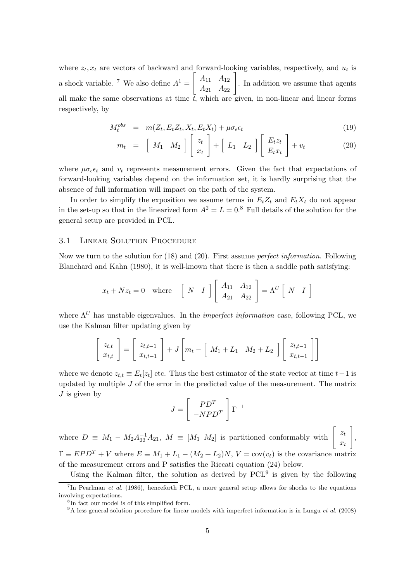where  $z_t$ ,  $x_t$  are vectors of backward and forward-looking variables, respectively, and  $u_t$  is a shock variable. <sup>7</sup> We also define  $A^1 =$  $\left[\begin{array}{cc} A_{11} & A_{12} \\ A_{21} & A_{22} \end{array}\right]$ . In addition we assume that agents all make the same observations at time  $\bar{t}$ , which are given, in non-linear and linear forms respectively, by

$$
M_t^{obs} = m(Z_t, E_t Z_t, X_t, E_t X_t) + \mu \sigma_{\epsilon} \epsilon_t
$$
\n(19)

$$
m_t = \begin{bmatrix} M_1 & M_2 \end{bmatrix} \begin{bmatrix} z_t \\ x_t \end{bmatrix} + \begin{bmatrix} L_1 & L_2 \end{bmatrix} \begin{bmatrix} E_t z_t \\ E_t x_t \end{bmatrix} + v_t \tag{20}
$$

where  $\mu \sigma_{\epsilon} \epsilon_t$  and  $v_t$  represents measurement errors. Given the fact that expectations of forward-looking variables depend on the information set, it is hardly surprising that the absence of full information will impact on the path of the system.

In order to simplify the exposition we assume terms in  $E_tZ_t$  and  $E_tX_t$  do not appear in the set-up so that in the linearized form  $A^2 = L = 0.8$  Full details of the solution for the general setup are provided in PCL.

### 3.1 Linear Solution Procedure

Now we turn to the solution for (18) and (20). First assume perfect information. Following Blanchard and Kahn (1980), it is well-known that there is then a saddle path satisfying:

$$
x_t + Nz_t = 0
$$
 where  $\begin{bmatrix} N & I \end{bmatrix} \begin{bmatrix} A_{11} & A_{12} \\ A_{21} & A_{22} \end{bmatrix} = \Lambda^U \begin{bmatrix} N & I \end{bmatrix}$ 

where  $\Lambda^U$  has unstable eigenvalues. In the *imperfect information* case, following PCL, we use the Kalman filter updating given by

$$
\begin{bmatrix} z_{t,t} \\ x_{t,t} \end{bmatrix} = \begin{bmatrix} z_{t,t-1} \\ x_{t,t-1} \end{bmatrix} + J \begin{bmatrix} m_t - \begin{bmatrix} M_1 + L_1 & M_2 + L_2 \end{bmatrix} \begin{bmatrix} z_{t,t-1} \\ x_{t,t-1} \end{bmatrix}
$$

where we denote  $z_{t,t} \equiv E_t[z_t]$  etc. Thus the best estimator of the state vector at time  $t-1$  is updated by multiple  $J$  of the error in the predicted value of the measurement. The matrix  $J$  is given by

$$
J = \left[ \begin{array}{c} PD^T \\ -NPD^T \end{array} \right] \Gamma^{-1}
$$

where  $D \equiv M_1 - M_2 A_{22}^{-1} A_{21}$ ,  $M \equiv [M_1 \ M_2]$  is partitioned conformably with  $\begin{bmatrix} z_t \\ x_s \end{bmatrix}$  $x_t$ 1 ,  $\Gamma \equiv EPD^{T} + V$  where  $E \equiv M_1 + L_1 - (M_2 + L_2)N$ ,  $V = cov(v_t)$  is the covariance matrix of the measurement errors and P satisfies the Riccati equation (24) below.

Using the Kalman filter, the solution as derived by  $PCL<sup>9</sup>$  is given by the following

<sup>&</sup>lt;sup>7</sup>In Pearlman *et al.* (1986), henceforth PCL, a more general setup allows for shocks to the equations involving expectations.

<sup>8</sup> In fact our model is of this simplified form.

 $9A$  less general solution procedure for linear models with imperfect information is in Lungu et al. (2008)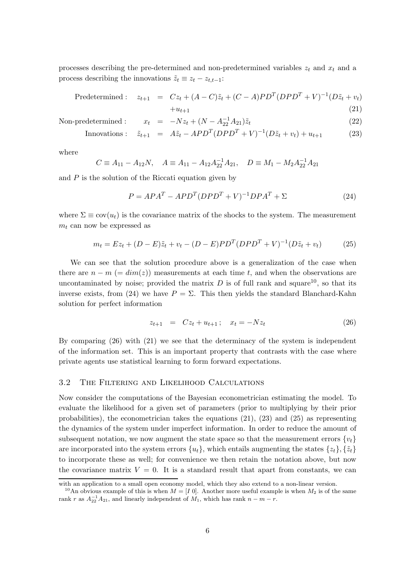processes describing the pre-determined and non-predetermined variables  $z_t$  and  $x_t$  and a process describing the innovations  $\tilde{z}_t \equiv z_t - z_{t,t-1}$ :

$$
Predetermined: \t z_{t+1} = Cz_t + (A - C)\tilde{z}_t + (C - A)PD^T (DPD^T + V)^{-1} (D\tilde{z}_t + v_t)
$$

$$
+u_{t+1} \tag{21}
$$

Non-predetermined :  $x_t = -Nz_t + (N - A_{22}^{-1}A_{21})\tilde{z}_t$  (22)

Innovations: 
$$
\tilde{z}_{t+1} = A\tilde{z}_t - APD^T (DPD^T + V)^{-1} (D\tilde{z}_t + v_t) + u_{t+1}
$$
 (23)

where

$$
C \equiv A_{11} - A_{12}N, \quad A \equiv A_{11} - A_{12}A_{22}^{-1}A_{21}, \quad D \equiv M_1 - M_2A_{22}^{-1}A_{21}
$$

and  $P$  is the solution of the Riccati equation given by

$$
P = APA^{T} - APD^{T}(DPD^{T} + V)^{-1}DPA^{T} + \Sigma
$$
\n(24)

where  $\Sigma \equiv \text{cov}(u_t)$  is the covariance matrix of the shocks to the system. The measurement  $m_t$  can now be expressed as

$$
m_t = Ez_t + (D - E)\tilde{z}_t + v_t - (D - E)PD^T (DPD^T + V)^{-1} (D\tilde{z}_t + v_t)
$$
 (25)

We can see that the solution procedure above is a generalization of the case when there are  $n - m$  (=  $dim(z)$ ) measurements at each time t, and when the observations are uncontaminated by noise; provided the matrix  $D$  is of full rank and square<sup>10</sup>, so that its inverse exists, from (24) we have  $P = \Sigma$ . This then yields the standard Blanchard-Kahn solution for perfect information

$$
z_{t+1} = Cz_t + u_{t+1}; \quad x_t = -Nz_t \tag{26}
$$

By comparing (26) with (21) we see that the determinacy of the system is independent of the information set. This is an important property that contrasts with the case where private agents use statistical learning to form forward expectations.

#### 3.2 The Filtering and Likelihood Calculations

Now consider the computations of the Bayesian econometrician estimating the model. To evaluate the likelihood for a given set of parameters (prior to multiplying by their prior probabilities), the econometrician takes the equations (21), (23) and (25) as representing the dynamics of the system under imperfect information. In order to reduce the amount of subsequent notation, we now augment the state space so that the measurement errors  $\{v_t\}$ are incorporated into the system errors  $\{u_t\}$ , which entails augmenting the states  $\{z_t\}, \{\tilde{z}_t\}$ to incorporate these as well; for convenience we then retain the notation above, but now the covariance matrix  $V = 0$ . It is a standard result that apart from constants, we can

with an application to a small open economy model, which they also extend to a non-linear version.

<sup>&</sup>lt;sup>10</sup>An obvious example of this is when  $M = [I \ 0]$ . Another more useful example is when  $M_2$  is of the same rank r as  $A_{22}^{-1}A_{21}$ , and linearly independent of  $M_1$ , which has rank  $n - m - r$ .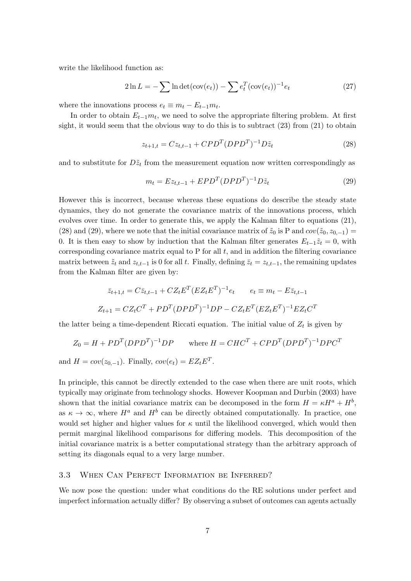write the likelihood function as:

$$
2\ln L = -\sum \ln \det(\text{cov}(e_t)) - \sum e_t^T (\text{cov}(e_t))^{-1} e_t \tag{27}
$$

where the innovations process  $e_t \equiv m_t - E_{t-1}m_t$ .

In order to obtain  $E_{t-1}m_t$ , we need to solve the appropriate filtering problem. At first sight, it would seem that the obvious way to do this is to subtract  $(23)$  from  $(21)$  to obtain

$$
z_{t+1,t} = C z_{t,t-1} + C P D^T (D P D^T)^{-1} D \tilde{z}_t
$$
\n(28)

and to substitute for  $D\tilde{z}_t$  from the measurement equation now written correspondingly as

$$
m_t = Ez_{t,t-1} + EPD^T (DPD^T)^{-1} D\tilde{z}_t
$$
\n
$$
(29)
$$

However this is incorrect, because whereas these equations do describe the steady state dynamics, they do not generate the covariance matrix of the innovations process, which evolves over time. In order to generate this, we apply the Kalman filter to equations (21), (28) and (29), where we note that the initial covariance matrix of  $\tilde{z}_0$  is P and  $cov(\tilde{z}_0, z_{0,-1}) =$ 0. It is then easy to show by induction that the Kalman filter generates  $E_{t-1}\tilde{z}_t = 0$ , with corresponding covariance matrix equal to  $P$  for all  $t$ , and in addition the filtering covariance matrix between  $\tilde{z}_t$  and  $z_{t,t-1}$  is 0 for all t. Finally, defining  $\bar{z}_t = z_{t,t-1}$ , the remaining updates from the Kalman filter are given by:

$$
\bar{z}_{t+1,t} = C\bar{z}_{t,t-1} + CZ_t E^T (EZ_t E^T)^{-1} e_t \qquad e_t \equiv m_t - E\bar{z}_{t,t-1}
$$

$$
Z_{t+1} = CZ_t C^T + PD^T (DPD^T)^{-1} DP - CZ_t E^T (EZ_t E^T)^{-1} EZ_t C^T
$$

the latter being a time-dependent Riccati equation. The initial value of  $Z_t$  is given by

$$
Z_0 = H + PDT(DPDT)-1DP \qquad \text{where } H = CHCT + CPDT(DPDT)-1DPCT
$$

and  $H = cov(z_{0,-1})$ . Finally,  $cov(e_t) = EZ_tE^T$ .

In principle, this cannot be directly extended to the case when there are unit roots, which typically may originate from technology shocks. However Koopman and Durbin (2003) have shown that the initial covariance matrix can be decomposed in the form  $H = \kappa H^a + H^b$ , as  $\kappa \to \infty$ , where  $H^a$  and  $H^b$  can be directly obtained computationally. In practice, one would set higher and higher values for  $\kappa$  until the likelihood converged, which would then permit marginal likelihood comparisons for differing models. This decomposition of the initial covariance matrix is a better computational strategy than the arbitrary approach of setting its diagonals equal to a very large number.

#### 3.3 When Can Perfect Information be Inferred?

We now pose the question: under what conditions do the RE solutions under perfect and imperfect information actually differ? By observing a subset of outcomes can agents actually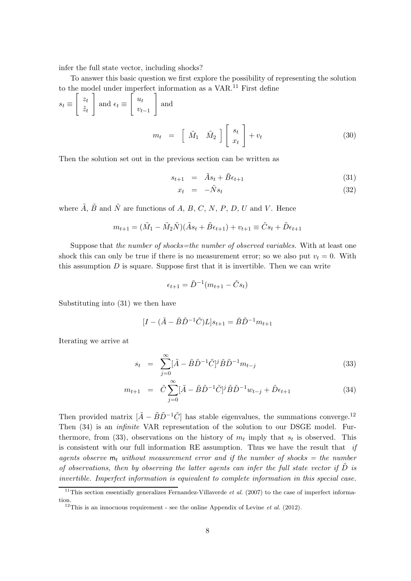infer the full state vector, including shocks?

To answer this basic question we first explore the possibility of representing the solution to the model under imperfect information as a VAR.<sup>11</sup> First define

$$
s_t \equiv \begin{bmatrix} z_t \\ \tilde{z}_t \end{bmatrix} \text{ and } \epsilon_t \equiv \begin{bmatrix} u_t \\ v_{t-1} \end{bmatrix} \text{ and}
$$

$$
m_t = \begin{bmatrix} \tilde{M}_1 & \tilde{M}_2 \end{bmatrix} \begin{bmatrix} s_t \\ x_t \end{bmatrix} + v_t
$$
(30)

Then the solution set out in the previous section can be written as

$$
s_{t+1} = \tilde{A}s_t + \tilde{B}\epsilon_{t+1} \tag{31}
$$

$$
x_t = -\tilde{N}s_t \tag{32}
$$

where  $\tilde{A}$ ,  $\tilde{B}$  and  $\tilde{N}$  are functions of A, B, C, N, P, D, U and V. Hence

$$
m_{t+1} = (\tilde{M}_1 - \tilde{M}_2 \tilde{N})(\tilde{A}s_t + \tilde{B}\epsilon_{t+1}) + v_{t+1} \equiv \tilde{C}s_t + \tilde{D}\epsilon_{t+1}
$$

Suppose that the number of shocks=the number of observed variables. With at least one shock this can only be true if there is no measurement error; so we also put  $v_t = 0$ . With this assumption  $D$  is square. Suppose first that it is invertible. Then we can write

$$
\epsilon_{t+1} = \tilde{D}^{-1}(m_{t+1} - \tilde{C}s_t)
$$

Substituting into (31) we then have

$$
[I - (\tilde{A} - \tilde{B}\tilde{D}^{-1}\tilde{C})L]s_{t+1} = \tilde{B}\tilde{D}^{-1}m_{t+1}
$$

Iterating we arrive at

$$
s_t = \sum_{j=0}^{\infty} [\tilde{A} - \tilde{B}\tilde{D}^{-1}\tilde{C}]^j \tilde{B}\tilde{D}^{-1} m_{t-j}
$$
(33)

$$
m_{t+1} = \tilde{C} \sum_{j=0}^{\infty} [\tilde{A} - \tilde{B}\tilde{D}^{-1}\tilde{C}]^{j} \tilde{B}\tilde{D}^{-1} w_{t-j} + \tilde{D}\epsilon_{t+1}
$$
(34)

Then provided matrix  $[\tilde{A} - \tilde{B}\tilde{D}^{-1}\tilde{C}]$  has stable eigenvalues, the summations converge.<sup>12</sup> Then (34) is an infinite VAR representation of the solution to our DSGE model. Furthermore, from (33), observations on the history of  $m_t$  imply that  $s_t$  is observed. This is consistent with our full information RE assumption. Thus we have the result that  $if$ agents observe  $m_t$  without measurement error and if the number of shocks = the number of observations, then by observing the latter agents can infer the full state vector if  $D$  is invertible. Imperfect information is equivalent to complete information in this special case.

<sup>&</sup>lt;sup>11</sup>This section essentially generalizes Fernandez-Villaverde *et al.* (2007) to the case of imperfect information.

<sup>&</sup>lt;sup>12</sup>This is an innocuous requirement - see the online Appendix of Levine *et al.* (2012).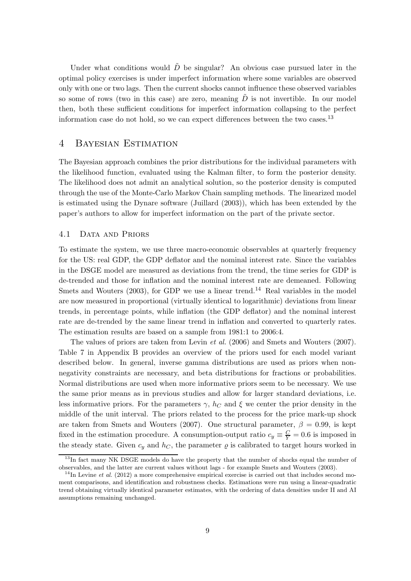Under what conditions would  $\tilde{D}$  be singular? An obvious case pursued later in the optimal policy exercises is under imperfect information where some variables are observed only with one or two lags. Then the current shocks cannot influence these observed variables so some of rows (two in this case) are zero, meaning  $\tilde{D}$  is not invertible. In our model then, both these sufficient conditions for imperfect information collapsing to the perfect information case do not hold, so we can expect differences between the two cases.<sup>13</sup>

# 4 Bayesian Estimation

The Bayesian approach combines the prior distributions for the individual parameters with the likelihood function, evaluated using the Kalman filter, to form the posterior density. The likelihood does not admit an analytical solution, so the posterior density is computed through the use of the Monte-Carlo Markov Chain sampling methods. The linearized model is estimated using the Dynare software (Juillard (2003)), which has been extended by the paper's authors to allow for imperfect information on the part of the private sector.

#### 4.1 DATA AND PRIORS

To estimate the system, we use three macro-economic observables at quarterly frequency for the US: real GDP, the GDP deflator and the nominal interest rate. Since the variables in the DSGE model are measured as deviations from the trend, the time series for GDP is de-trended and those for inflation and the nominal interest rate are demeaned. Following Smets and Wouters  $(2003)$ , for GDP we use a linear trend.<sup>14</sup> Real variables in the model are now measured in proportional (virtually identical to logarithmic) deviations from linear trends, in percentage points, while inflation (the GDP deflator) and the nominal interest rate are de-trended by the same linear trend in inflation and converted to quarterly rates. The estimation results are based on a sample from 1981:1 to 2006:4.

The values of priors are taken from Levin et al. (2006) and Smets and Wouters (2007). Table 7 in Appendix B provides an overview of the priors used for each model variant described below. In general, inverse gamma distributions are used as priors when nonnegativity constraints are necessary, and beta distributions for fractions or probabilities. Normal distributions are used when more informative priors seem to be necessary. We use the same prior means as in previous studies and allow for larger standard deviations, i.e. less informative priors. For the parameters  $\gamma$ ,  $h_C$  and  $\xi$  we center the prior density in the middle of the unit interval. The priors related to the process for the price mark-up shock are taken from Smets and Wouters (2007). One structural parameter,  $\beta = 0.99$ , is kept fixed in the estimation procedure. A consumption-output ratio  $c_y \equiv \frac{C}{Y} = 0.6$  is imposed in the steady state. Given  $c_y$  and  $h_c$ , the parameter  $\varrho$  is calibrated to target hours worked in

<sup>&</sup>lt;sup>13</sup>In fact many NK DSGE models do have the property that the number of shocks equal the number of observables, and the latter are current values without lags - for example Smets and Wouters (2003).

<sup>&</sup>lt;sup>14</sup>In Levine *et al.* (2012) a more comprehensive empirical exercise is carried out that includes second moment comparisons, and identification and robustness checks. Estimations were run using a linear-quadratic trend obtaining virtually identical parameter estimates, with the ordering of data densities under II and AI assumptions remaining unchanged.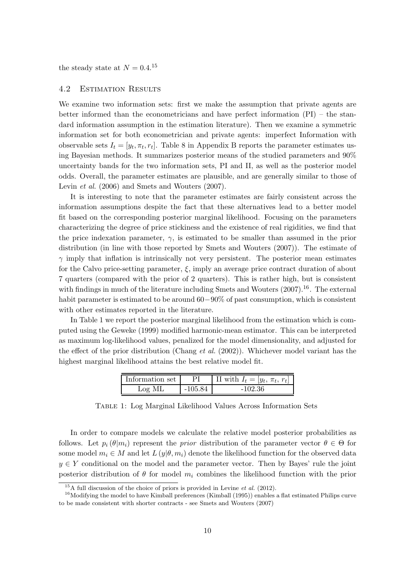the steady state at  $N = 0.4$ <sup>15</sup>

### 4.2 Estimation Results

We examine two information sets: first we make the assumption that private agents are better informed than the econometricians and have perfect information (PI) – the standard information assumption in the estimation literature). Then we examine a symmetric information set for both econometrician and private agents: imperfect Information with observable sets  $I_t = [y_t, \pi_t, r_t]$ . Table 8 in Appendix B reports the parameter estimates using Bayesian methods. It summarizes posterior means of the studied parameters and 90% uncertainty bands for the two information sets, PI and II, as well as the posterior model odds. Overall, the parameter estimates are plausible, and are generally similar to those of Levin *et al.* (2006) and Smets and Wouters (2007).

It is interesting to note that the parameter estimates are fairly consistent across the information assumptions despite the fact that these alternatives lead to a better model fit based on the corresponding posterior marginal likelihood. Focusing on the parameters characterizing the degree of price stickiness and the existence of real rigidities, we find that the price indexation parameter,  $\gamma$ , is estimated to be smaller than assumed in the prior distribution (in line with those reported by Smets and Wouters (2007)). The estimate of  $\gamma$  imply that inflation is intrinsically not very persistent. The posterior mean estimates for the Calvo price-setting parameter,  $\xi$ , imply an average price contract duration of about 7 quarters (compared with the prior of 2 quarters). This is rather high, but is consistent with findings in much of the literature including Smets and Wouters  $(2007).^{16}$ . The external habit parameter is estimated to be around 60−90% of past consumption, which is consistent with other estimates reported in the literature.

In Table 1 we report the posterior marginal likelihood from the estimation which is computed using the Geweke (1999) modified harmonic-mean estimator. This can be interpreted as maximum log-likelihood values, penalized for the model dimensionality, and adjusted for the effect of the prior distribution (Chang et al.  $(2002)$ ). Whichever model variant has the highest marginal likelihood attains the best relative model fit.

| Information set |         | II with $I_t =  y_t, \pi_t, r_t $ |
|-----------------|---------|-----------------------------------|
| -ML<br>$Log$ .  | -105.84 | -102.36                           |

Table 1: Log Marginal Likelihood Values Across Information Sets

In order to compare models we calculate the relative model posterior probabilities as follows. Let  $p_i(\theta|m_i)$  represent the prior distribution of the parameter vector  $\theta \in \Theta$  for some model  $m_i \in M$  and let  $L(y|\theta, m_i)$  denote the likelihood function for the observed data  $y \in Y$  conditional on the model and the parameter vector. Then by Bayes' rule the joint posterior distribution of  $\theta$  for model  $m_i$  combines the likelihood function with the prior

 $^{15}$ A full discussion of the choice of priors is provided in Levine *et al.* (2012).

 $16$ Modifying the model to have Kimball preferences (Kimball (1995)) enables a flat estimated Philips curve to be made consistent with shorter contracts - see Smets and Wouters (2007)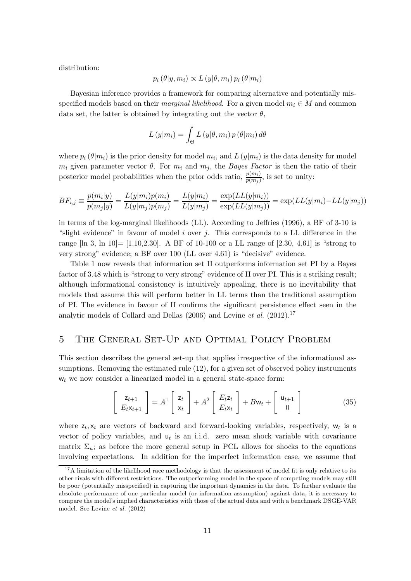distribution:

$$
p_i(\theta | y, m_i) \propto L(y | \theta, m_i) p_i(\theta | m_i)
$$

Bayesian inference provides a framework for comparing alternative and potentially misspecified models based on their *marginal likelihood*. For a given model  $m_i \in M$  and common data set, the latter is obtained by integrating out the vector  $\theta$ ,

$$
L(y|m_i) = \int_{\Theta} L(y|\theta, m_i) p(\theta|m_i) d\theta
$$

where  $p_i(\theta|m_i)$  is the prior density for model  $m_i$ , and  $L(y|m_i)$  is the data density for model  $m_i$  given parameter vector  $\theta$ . For  $m_i$  and  $m_j$ , the *Bayes Factor* is then the ratio of their posterior model probabilities when the prior odds ratio,  $\frac{p(m_i)}{p(m_j)}$ , is set to unity:

$$
BF_{i,j} \equiv \frac{p(m_i|y)}{p(m_j|y)} = \frac{L(y|m_i)p(m_i)}{L(y|m_j)p(m_j)} = \frac{L(y|m_i)}{L(y|m_j)} = \frac{\exp(LL(y|m_i))}{\exp(LL(y|m_j))} = \exp(LL(y|m_i) - LL(y|m_j))
$$

in terms of the log-marginal likelihoods (LL). According to Jeffries (1996), a BF of 3-10 is "slight evidence" in favour of model i over j. This corresponds to a LL difference in the range  $\lbrack \ln 3, \ln 10 \rbrack = [1.10, 2.30].$  A BF of 10-100 or a LL range of [2.30, 4.61] is "strong to very strong" evidence; a BF over 100 (LL over 4.61) is "decisive" evidence.

Table 1 now reveals that information set II outperforms information set PI by a Bayes factor of 3.48 which is "strong to very strong" evidence of II over PI. This is a striking result; although informational consistency is intuitively appealing, there is no inevitability that models that assume this will perform better in LL terms than the traditional assumption of PI. The evidence in favour of II confirms the significant persistence effect seen in the analytic models of Collard and Dellas (2006) and Levine et al.  $(2012).^{17}$ 

# 5 The General Set-Up and Optimal Policy Problem

This section describes the general set-up that applies irrespective of the informational assumptions. Removing the estimated rule (12), for a given set of observed policy instruments  $w_t$  we now consider a linearized model in a general state-space form:

$$
\begin{bmatrix} z_{t+1} \\ E_t x_{t+1} \end{bmatrix} = A^1 \begin{bmatrix} z_t \\ x_t \end{bmatrix} + A^2 \begin{bmatrix} E_t z_t \\ E_t x_t \end{bmatrix} + B w_t + \begin{bmatrix} u_{t+1} \\ 0 \end{bmatrix}
$$
 (35)

where  $z_t$ ,  $x_t$  are vectors of backward and forward-looking variables, respectively,  $w_t$  is a vector of policy variables, and  $u_t$  is an i.i.d. zero mean shock variable with covariance matrix  $\Sigma_u$ ; as before the more general setup in PCL allows for shocks to the equations involving expectations. In addition for the imperfect information case, we assume that

 $17A$  limitation of the likelihood race methodology is that the assessment of model fit is only relative to its other rivals with different restrictions. The outperforming model in the space of competing models may still be poor (potentially misspecified) in capturing the important dynamics in the data. To further evaluate the absolute performance of one particular model (or information assumption) against data, it is necessary to compare the model's implied characteristics with those of the actual data and with a benchmark DSGE-VAR model. See Levine et al. (2012)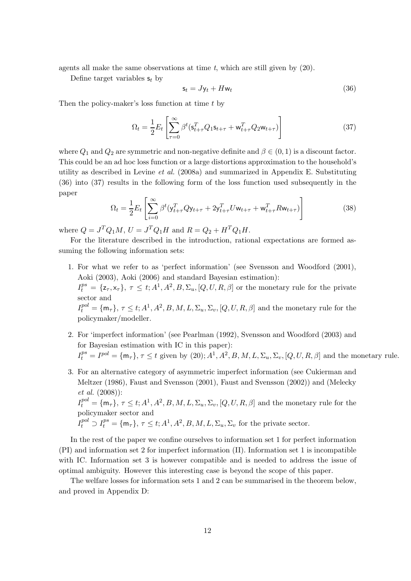agents all make the same observations at time  $t$ , which are still given by  $(20)$ .

Define target variables  $s_t$  by

$$
\mathsf{s}_t = J\mathsf{y}_t + H\mathsf{w}_t \tag{36}
$$

Then the policy-maker's loss function at time t by

$$
\Omega_t = \frac{1}{2} E_t \left[ \sum_{\tau=0}^{\infty} \beta^t (s_{t+\tau}^T Q_1 s_{t+\tau} + w_{t+\tau}^T Q_2 w_{t+\tau}) \right]
$$
(37)

where  $Q_1$  and  $Q_2$  are symmetric and non-negative definite and  $\beta \in (0,1)$  is a discount factor. This could be an ad hoc loss function or a large distortions approximation to the household's utility as described in Levine *et al.* (2008a) and summarized in Appendix E. Substituting (36) into (37) results in the following form of the loss function used subsequently in the paper

$$
\Omega_t = \frac{1}{2} E_t \left[ \sum_{i=0}^{\infty} \beta^t (y_{t+\tau}^T Q y_{t+\tau} + 2y_{t+\tau}^T U w_{t+\tau} + w_{t+\tau}^T R w_{t+\tau}) \right]
$$
(38)

where  $Q = J^T Q_1 M$ ,  $U = J^T Q_1 H$  and  $R = Q_2 + H^T Q_1 H$ .

For the literature described in the introduction, rational expectations are formed assuming the following information sets:

- 1. For what we refer to as 'perfect information' (see Svensson and Woodford (2001), Aoki (2003), Aoki (2006) and standard Bayesian estimation):  $I_t^{ps} = {\mathsf{z}_{\tau}, \mathsf{x}_{\tau}}, \tau \leq t; A^1, A^2, B, \Sigma_u, [Q, U, R, \beta]$  or the monetary rule for the private sector and  $I_t^{pol} = \{ \mathsf{m}_\tau \}, \tau \leq t; A^1, A^2, B, M, L, \Sigma_u, \Sigma_v, [Q, U, R, \beta]$  and the monetary rule for the policymaker/modeller.
- 2. For 'imperfect information' (see Pearlman (1992), Svensson and Woodford (2003) and for Bayesian estimation with IC in this paper):  $I_t^{ps} = I^{pol} = \{ \mathsf{m}_{\tau} \}, \tau \leq t$  given by  $(20)$ ;  $A^1, A^2, B, M, L, \Sigma_u, \Sigma_v, [Q, U, R, \beta]$  and the monetary rule.
- 3. For an alternative category of asymmetric imperfect information (see Cukierman and Meltzer (1986), Faust and Svensson (2001), Faust and Svensson (2002)) and (Melecky et al. (2008)):  $I_t^{pol} = \{ \mathsf{m}_\tau \}, \tau \leq t; A^1, A^2, B, M, L, \Sigma_u, \Sigma_v, [Q, U, R, \beta]$  and the monetary rule for the policymaker sector and  $I_t^{pol} \supset I_t^{ps} = {\mathfrak{m}}_\tau$ ,  $\tau \leq t$ ;  $A^1, A^2, B, M, L, \Sigma_u, \Sigma_v$  for the private sector.

In the rest of the paper we confine ourselves to information set 1 for perfect information (PI) and information set 2 for imperfect information (II). Information set 1 is incompatible with IC. Information set 3 is however compatible and is needed to address the issue of optimal ambiguity. However this interesting case is beyond the scope of this paper.

The welfare losses for information sets 1 and 2 can be summarised in the theorem below, and proved in Appendix D: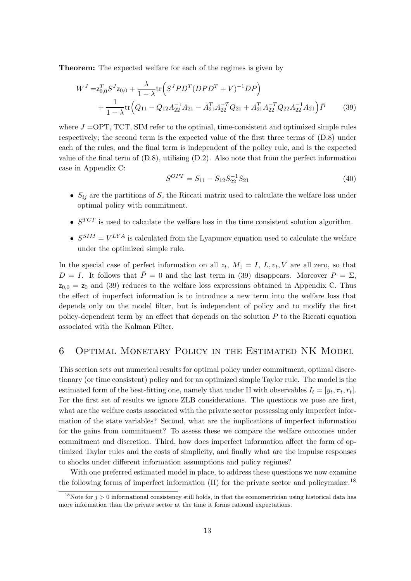Theorem: The expected welfare for each of the regimes is given by

$$
W^{J} = \mathbf{z}_{0,0}^{T} S^{J} \mathbf{z}_{0,0} + \frac{\lambda}{1-\lambda} \text{tr} \left( S^{J} P D^{T} (D P D^{T} + V)^{-1} D P \right) + \frac{1}{1-\lambda} \text{tr} \left( Q_{11} - Q_{12} A_{22}^{-1} A_{21} - A_{21}^{T} A_{22}^{-T} Q_{21} + A_{21}^{T} A_{22}^{-T} Q_{22} A_{22}^{-1} A_{21} \right) \bar{P}
$$
(39)

where  $J = \text{OPT}$ , TCT, SIM refer to the optimal, time-consistent and optimized simple rules respectively; the second term is the expected value of the first three terms of (D.8) under each of the rules, and the final term is independent of the policy rule, and is the expected value of the final term of (D.8), utilising (D.2). Also note that from the perfect information case in Appendix C:

$$
S^{OPT} = S_{11} - S_{12} S_{22}^{-1} S_{21}
$$
\n
$$
(40)
$$

- $S_{ij}$  are the partitions of S, the Riccati matrix used to calculate the welfare loss under optimal policy with commitment.
- $S^{TCT}$  is used to calculate the welfare loss in the time consistent solution algorithm.
- $S^{SIM} = V^{LYA}$  is calculated from the Lyapunov equation used to calculate the welfare under the optimized simple rule.

In the special case of perfect information on all  $z_t$ ,  $M_1 = I$ ,  $L$ ,  $v_t$ ,  $V$  are all zero, so that  $D = I$ . It follows that  $\overline{P} = 0$  and the last term in (39) disappears. Moreover  $P = \Sigma$ ,  $z_{0,0} = z_0$  and (39) reduces to the welfare loss expressions obtained in Appendix C. Thus the effect of imperfect information is to introduce a new term into the welfare loss that depends only on the model filter, but is independent of policy and to modify the first policy-dependent term by an effect that depends on the solution  $P$  to the Riccati equation associated with the Kalman Filter.

# 6 Optimal Monetary Policy in the Estimated NK Model

This section sets out numerical results for optimal policy under commitment, optimal discretionary (or time consistent) policy and for an optimized simple Taylor rule. The model is the estimated form of the best-fitting one, namely that under II with observables  $I_t = [y_t, \pi_t, r_t].$ For the first set of results we ignore ZLB considerations. The questions we pose are first, what are the welfare costs associated with the private sector possessing only imperfect information of the state variables? Second, what are the implications of imperfect information for the gains from commitment? To assess these we compare the welfare outcomes under commitment and discretion. Third, how does imperfect information affect the form of optimized Taylor rules and the costs of simplicity, and finally what are the impulse responses to shocks under different information assumptions and policy regimes?

With one preferred estimated model in place, to address these questions we now examine the following forms of imperfect information (II) for the private sector and policymaker.<sup>18</sup>

<sup>&</sup>lt;sup>18</sup>Note for  $j > 0$  informational consistency still holds, in that the econometrician using historical data has more information than the private sector at the time it forms rational expectations.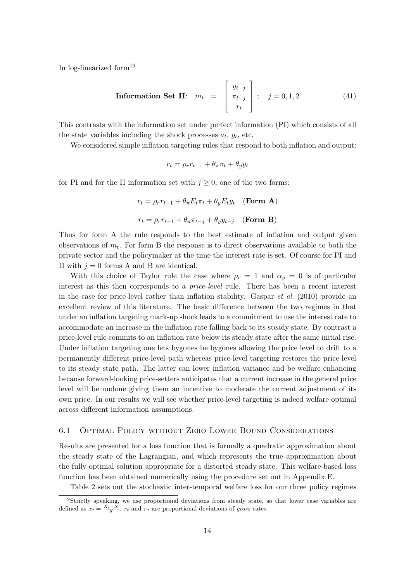In log-linearized form<sup>19</sup>

**Information Set II:** 
$$
m_t = \begin{bmatrix} y_{t-j} \\ \pi_{t-j} \\ r_t \end{bmatrix}
$$
;  $j = 0, 1, 2$  (41)

This contrasts with the information set under perfect information (PI) which consists of all the state variables including the shock processes  $a_t$ ,  $g_t$ , etc.

We considered simple inflation targeting rules that respond to both inflation and output:

$$
r_t = \rho_r r_{t-1} + \theta_\pi \pi_t + \theta_y y_t
$$

for PI and for the II information set with  $j \geq 0$ , one of the two forms:

$$
r_t = \rho_r r_{t-1} + \theta_\pi E_t \pi_t + \theta_y E_t y_t \quad \text{(Form A)}
$$
\n
$$
r_t = \rho_r r_{t-1} + \theta_\pi \pi_{t-j} + \theta_y y_{t-j} \quad \text{(Form B)}
$$

Thus for form A the rule responds to the best estimate of inflation and output given observations of  $m_t$ . For form B the response is to direct observations available to both the private sector and the policymaker at the time the interest rate is set. Of course for PI and II with  $j = 0$  forms A and B are identical.

With this choice of Taylor rule the case where  $\rho_r = 1$  and  $\alpha_y = 0$  is of particular interest as this then corresponds to a price-level rule. There has been a recent interest in the case for price-level rather than inflation stability. Gaspar et al. (2010) provide an excellent review of this literature. The basic difference between the two regimes in that under an inflation targeting mark-up shock leads to a commitment to use the interest rate to accommodate an increase in the inflation rate falling back to its steady state. By contrast a price-level rule commits to an inflation rate below its steady state after the same initial rise. Under inflation targeting one lets bygones be bygones allowing the price level to drift to a permanently different price-level path whereas price-level targeting restores the price level to its steady state path. The latter can lower inflation variance and be welfare enhancing because forward-looking price-setters anticipates that a current increase in the general price level will be undone giving them an incentive to moderate the current adjustment of its own price. In our results we will see whether price-level targeting is indeed welfare optimal across different information assumptions.

#### 6.1 Optimal Policy without Zero Lower Bound Considerations

Results are presented for a loss function that is formally a quadratic approximation about the steady state of the Lagrangian, and which represents the true approximation about the fully optimal solution appropriate for a distorted steady state. This welfare-based loss function has been obtained numerically using the procedure set out in Appendix E.

Table 2 sets out the stochastic inter-temporal welfare loss for our three policy regimes

<sup>&</sup>lt;sup>19</sup>Strictly speaking, we use proportional deviations from steady state, so that lower case variables are defined as  $x_t = \frac{X_t - X}{X}$ .  $r_t$  and  $\pi_t$  are proportional deviations of gross rates.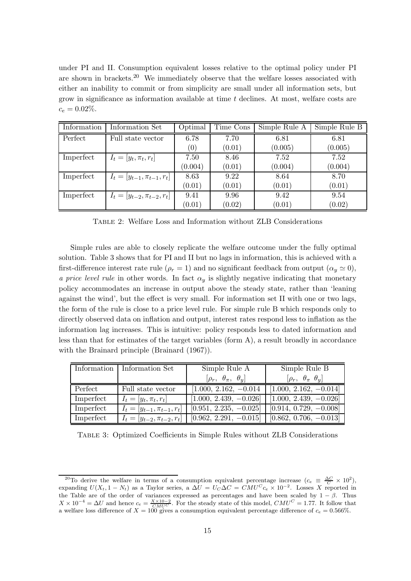under PI and II. Consumption equivalent losses relative to the optimal policy under PI are shown in brackets.<sup>20</sup> We immediately observe that the welfare losses associated with either an inability to commit or from simplicity are small under all information sets, but grow in significance as information available at time t declines. At most, welfare costs are  $c_e = 0.02\%.$ 

| Information | Information Set                   | Optimal | Time Cons | Simple Rule A | Simple Rule B |
|-------------|-----------------------------------|---------|-----------|---------------|---------------|
| Perfect     | Full state vector                 | 6.78    | 7.70      | 6.81          | 6.81          |
|             |                                   | (0)     | (0.01)    | (0.005)       | (0.005)       |
| Imperfect   | $I_t = [y_t, \pi_t, r_t]$         | 7.50    | 8.46      | 7.52          | 7.52          |
|             |                                   | (0.004) | (0.01)    | (0.004)       | (0.004)       |
| Imperfect   | $I_t = [y_{t-1}, \pi_{t-1}, r_t]$ | 8.63    | 9.22      | 8.64          | 8.70          |
|             |                                   | (0.01)  | (0.01)    | (0.01)        | (0.01)        |
| Imperfect   | $I_t =  y_{t-2}, \pi_{t-2}, r_t $ | 9.41    | 9.96      | 9.42          | 9.54          |
|             |                                   | (0.01)  | (0.02)    | (0.01)        | (0.02)        |

Table 2: Welfare Loss and Information without ZLB Considerations

Simple rules are able to closely replicate the welfare outcome under the fully optimal solution. Table 3 shows that for PI and II but no lags in information, this is achieved with a first-difference interest rate rule ( $\rho_r = 1$ ) and no significant feedback from output ( $\alpha_y \simeq 0$ ), a price level rule in other words. In fact  $\alpha_y$  is slightly negative indicating that monetary policy accommodates an increase in output above the steady state, rather than 'leaning against the wind', but the effect is very small. For information set II with one or two lags, the form of the rule is close to a price level rule. For simple rule B which responds only to directly observed data on inflation and output, interest rates respond less to inflation as the information lag increases. This is intuitive: policy responds less to dated information and less than that for estimates of the target variables (form A), a result broadly in accordance with the Brainard principle (Brainard (1967)).

|           | Information   Information Set     | Simple Rule A                    | Simple Rule B                       |
|-----------|-----------------------------------|----------------------------------|-------------------------------------|
|           |                                   | $[\rho_r, \theta_\pi, \theta_u]$ | $[\rho_r, \theta_{\pi} \theta_{y}]$ |
| Perfect   | Full state vector                 | $[1.000, 2.162, -0.014]$         | $[1.000, 2.162, -0.014]$            |
| Imperfect | $I_t = [y_t, \pi_t, r_t]$         | $[1.000, 2.439, -0.026]$         | $[1.000, 2.439, -0.026]$            |
| Imperfect | $I_t = [y_{t-1}, \pi_{t-1}, r_t]$ | $[0.951, 2.235, -0.025]$         | $[0.914, 0.729, -0.008]$            |
| Imperfect | $I_t = [y_{t-2}, \pi_{t-2}, r_t]$ | $[0.962, 2.291, -0.015]$         | $[0.862, 0.706, -0.013]$            |

Table 3: Optimized Coefficients in Simple Rules without ZLB Considerations

<sup>&</sup>lt;sup>20</sup>To derive the welfare in terms of a consumption equivalent percentage increase  $(c_e \equiv \frac{\Delta C}{C} \times 10^2)$ , expanding  $U(X_t, 1 - N_t)$  as a Taylor series, a  $\Delta U = U_C \Delta C = C M U^C c_e \times 10^{-2}$ . Losses X reported in the Table are of the order of variances expressed as percentages and have been scaled by  $1 - \beta$ . Thus  $X \times 10^{-4} = \Delta U$  and hence  $c_e = \frac{X \times 10^{-2}}{CMU^C}$ . For the steady state of this model,  $CMU^C = 1.77$ . It follow that a welfare loss difference of  $X = 100$  gives a consumption equivalent percentage difference of  $c_e = 0.566\%$ .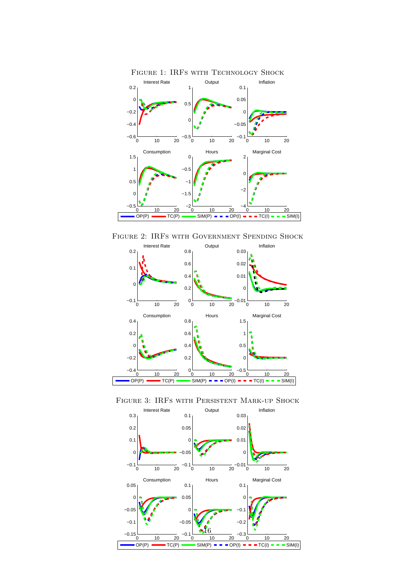

Figure 2: IRFs with Government Spending Shock





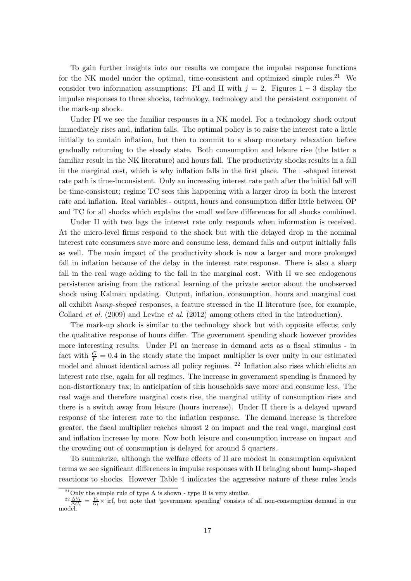To gain further insights into our results we compare the impulse response functions for the NK model under the optimal, time-consistent and optimized simple rules.<sup>21</sup> We consider two information assumptions: PI and II with  $j = 2$ . Figures  $1 - 3$  display the impulse responses to three shocks, technology, technology and the persistent component of the mark-up shock.

Under PI we see the familiar responses in a NK model. For a technology shock output immediately rises and, inflation falls. The optimal policy is to raise the interest rate a little initially to contain inflation, but then to commit to a sharp monetary relaxation before gradually returning to the steady state. Both consumption and leisure rise (the latter a familiar result in the NK literature) and hours fall. The productivity shocks results in a fall in the marginal cost, which is why inflation falls in the first place. The ⊔-shaped interest rate path is time-inconsistent. Only an increasing interest rate path after the initial fall will be time-consistent; regime TC sees this happening with a larger drop in both the interest rate and inflation. Real variables - output, hours and consumption differ little between OP and TC for all shocks which explains the small welfare differences for all shocks combined.

Under II with two lags the interest rate only responds when information is received. At the micro-level firms respond to the shock but with the delayed drop in the nominal interest rate consumers save more and consume less, demand falls and output initially falls as well. The main impact of the productivity shock is now a larger and more prolonged fall in inflation because of the delay in the interest rate response. There is also a sharp fall in the real wage adding to the fall in the marginal cost. With II we see endogenous persistence arising from the rational learning of the private sector about the unobserved shock using Kalman updating. Output, inflation, consumption, hours and marginal cost all exhibit hump-shaped responses, a feature stressed in the II literature (see, for example, Collard *et al.* (2009) and Levine *et al.* (2012) among others cited in the introduction).

The mark-up shock is similar to the technology shock but with opposite effects; only the qualitative response of hours differ. The government spending shock however provides more interesting results. Under PI an increase in demand acts as a fiscal stimulus - in fact with  $\frac{G}{Y} = 0.4$  in the steady state the impact multiplier is over unity in our estimated model and almost identical across all policy regimes. <sup>22</sup> Inflation also rises which elicits an interest rate rise, again for all regimes. The increase in government spending is financed by non-distortionary tax; in anticipation of this households save more and consume less. The real wage and therefore marginal costs rise, the marginal utility of consumption rises and there is a switch away from leisure (hours increase). Under II there is a delayed upward response of the interest rate to the inflation response. The demand increase is therefore greater, the fiscal multiplier reaches almost 2 on impact and the real wage, marginal cost and inflation increase by more. Now both leisure and consumption increase on impact and the crowding out of consumption is delayed for around 5 quarters.

To summarize, although the welfare effects of II are modest in consumption equivalent terms we see significant differences in impulse responses with II bringing about hump-shaped reactions to shocks. However Table 4 indicates the aggressive nature of these rules leads

 $^{21}$ Only the simple rule of type A is shown - type B is very similar.

 $\frac{22 \Delta Y_t}{\Delta G_t} = \frac{Y_t}{G_t} \times \text{irf},$  but note that 'government spending' consists of all non-consumption demand in our model.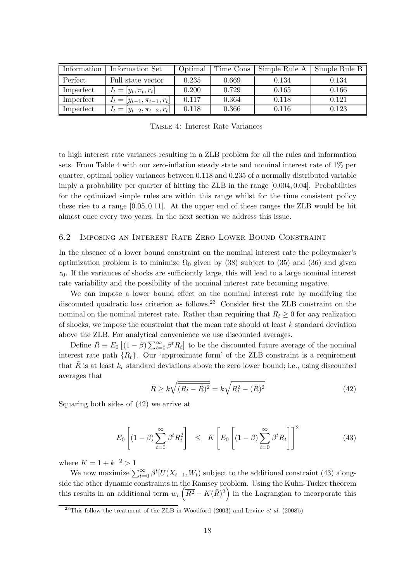| Information | Information Set                   | Optimal | Time Cons | Simple Rule A | Simple Rule B |
|-------------|-----------------------------------|---------|-----------|---------------|---------------|
| Perfect     | Full state vector                 | 0.235   | 0.669     | 0.134         | 0.134         |
| Imperfect   | $I_t =  y_t, \pi_t, r_t $         | 0.200   | 0.729     | 0.165         | 0.166         |
| Imperfect   | $I_t =  y_{t-1}, \pi_{t-1}, r_t $ | 0.117   | 0.364     | 0.118         | 0.121         |
| Imperfect   | $I_t =  y_{t-2}, \pi_{t-2}, r_t $ | 0.118   | 0.366     | 0.116         | 0.123         |

Table 4: Interest Rate Variances

to high interest rate variances resulting in a ZLB problem for all the rules and information sets. From Table 4 with our zero-inflation steady state and nominal interest rate of 1% per quarter, optimal policy variances between 0.118 and 0.235 of a normally distributed variable imply a probability per quarter of hitting the ZLB in the range [0.004, 0.04]. Probabilities for the optimized simple rules are within this range whilst for the time consistent policy these rise to a range [0.05, 0.11]. At the upper end of these ranges the ZLB would be hit almost once every two years. In the next section we address this issue.

#### 6.2 Imposing an Interest Rate Zero Lower Bound Constraint

In the absence of a lower bound constraint on the nominal interest rate the policymaker's optimization problem is to minimize  $\Omega_0$  given by (38) subject to (35) and (36) and given  $z_0$ . If the variances of shocks are sufficiently large, this will lead to a large nominal interest rate variability and the possibility of the nominal interest rate becoming negative.

We can impose a lower bound effect on the nominal interest rate by modifying the discounted quadratic loss criterion as follows.<sup>23</sup> Consider first the ZLB constraint on the nominal on the nominal interest rate. Rather than requiring that  $R_t \geq 0$  for any realization of shocks, we impose the constraint that the mean rate should at least  $k$  standard deviation above the ZLB. For analytical convenience we use discounted averages.

Define  $\bar{R} \equiv E_0 \left[ (1 - \beta) \sum_{t=0}^{\infty} \beta^t R_t \right]$  to be the discounted future average of the nominal interest rate path  $\{R_t\}$ . Our 'approximate form' of the ZLB constraint is a requirement that  $\bar{R}$  is at least  $k_r$  standard deviations above the zero lower bound; i.e., using discounted averages that

$$
\bar{R} \ge k\sqrt{(\bar{R}_t - \bar{R})^2} = k\sqrt{\bar{R}_t^2 - (\bar{R})^2}
$$
 (42)

Squaring both sides of (42) we arrive at

$$
E_0\left[ (1-\beta) \sum_{t=0}^{\infty} \beta^t R_t^2 \right] \leq K \left[ E_0\left[ (1-\beta) \sum_{t=0}^{\infty} \beta^t R_t \right] \right]^2 \tag{43}
$$

where  $K = 1 + k^{-2} > 1$ 

We now maximize  $\sum_{t=0}^{\infty} \beta^t [U(X_{t-1}, W_t)]$  subject to the additional constraint (43) alongside the other dynamic constraints in the Ramsey problem. Using the Kuhn-Tucker theorem this results in an additional term  $w_r(\overline{R^2} - K(\overline{R})^2)$  in the Lagrangian to incorporate this

 $^{23}$ This follow the treatment of the ZLB in Woodford (2003) and Levine et al. (2008b)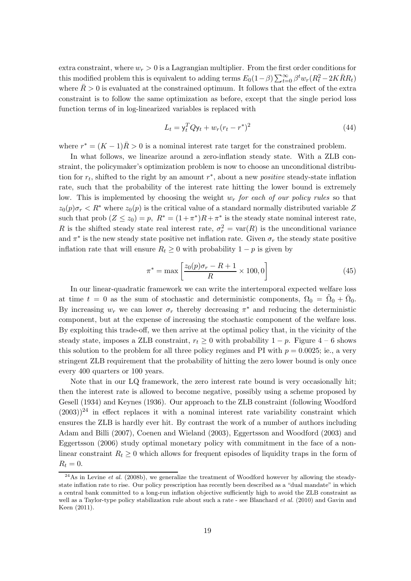extra constraint, where  $w_r > 0$  is a Lagrangian multiplier. From the first order conditions for this modified problem this is equivalent to adding terms  $E_0(1-\beta) \sum_{t=0}^{\infty} \beta^t w_r (R_t^2 - 2K\bar{R}R_t)$ where  $\bar{R} > 0$  is evaluated at the constrained optimum. It follows that the effect of the extra constraint is to follow the same optimization as before, except that the single period loss function terms of in log-linearized variables is replaced with

$$
L_t = \mathbf{y}_t^T Q \mathbf{y}_t + w_r (r_t - r^*)^2 \tag{44}
$$

where  $r^* = (K - 1)\overline{R} > 0$  is a nominal interest rate target for the constrained problem.

In what follows, we linearize around a zero-inflation steady state. With a ZLB constraint, the policymaker's optimization problem is now to choose an unconditional distribution for  $r_t$ , shifted to the right by an amount  $r^*$ , about a new *positive* steady-state inflation rate, such that the probability of the interest rate hitting the lower bound is extremely low. This is implemented by choosing the weight  $w_r$  for each of our policy rules so that  $z_0(p)\sigma_r < R^*$  where  $z_0(p)$  is the critical value of a standard normally distributed variable Z such that prob  $(Z \le z_0) = p$ ,  $R^* = (1 + \pi^*)R + \pi^*$  is the steady state nominal interest rate, R is the shifted steady state real interest rate,  $\sigma_r^2 = \text{var}(R)$  is the unconditional variance and  $\pi^*$  is the new steady state positive net inflation rate. Given  $\sigma_r$  the steady state positive inflation rate that will ensure  $R_t \geq 0$  with probability  $1 - p$  is given by

$$
\pi^* = \max\left[\frac{z_0(p)\sigma_r - R + 1}{R} \times 100, 0\right]
$$
\n(45)

In our linear-quadratic framework we can write the intertemporal expected welfare loss at time  $t = 0$  as the sum of stochastic and deterministic components,  $\Omega_0 = \tilde{\Omega}_0 + \bar{\Omega}_0$ . By increasing  $w_r$  we can lower  $\sigma_r$  thereby decreasing  $\pi^*$  and reducing the deterministic component, but at the expense of increasing the stochastic component of the welfare loss. By exploiting this trade-off, we then arrive at the optimal policy that, in the vicinity of the steady state, imposes a ZLB constraint,  $r_t \geq 0$  with probability  $1 - p$ . Figure  $4 - 6$  shows this solution to the problem for all three policy regimes and PI with  $p = 0.0025$ ; ie., a very stringent ZLB requirement that the probability of hitting the zero lower bound is only once every 400 quarters or 100 years.

Note that in our LQ framework, the zero interest rate bound is very occasionally hit; then the interest rate is allowed to become negative, possibly using a scheme proposed by Gesell (1934) and Keynes (1936). Our approach to the ZLB constraint (following Woodford  $(2003))^{24}$  in effect replaces it with a nominal interest rate variability constraint which ensures the ZLB is hardly ever hit. By contrast the work of a number of authors including Adam and Billi (2007), Coenen and Wieland (2003), Eggertsson and Woodford (2003) and Eggertsson (2006) study optimal monetary policy with commitment in the face of a nonlinear constraint  $R_t \geq 0$  which allows for frequent episodes of liquidity traps in the form of  $R_t = 0.$ 

 $^{24}$ As in Levine *et al.* (2008b), we generalize the treatment of Woodford however by allowing the steadystate inflation rate to rise. Our policy prescription has recently been described as a "dual mandate" in which a central bank committed to a long-run inflation objective sufficiently high to avoid the ZLB constraint as well as a Taylor-type policy stabilization rule about such a rate - see Blanchard *et al.* (2010) and Gavin and Keen (2011).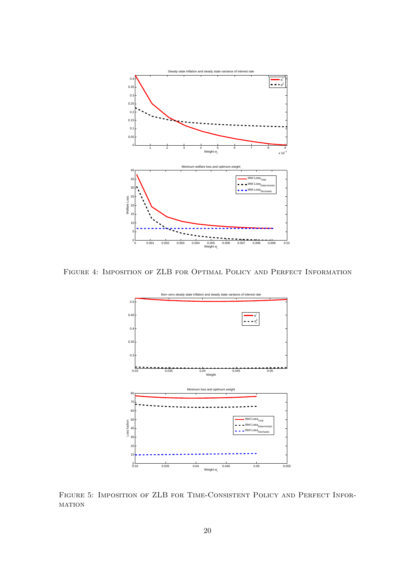

Figure 4: Imposition of ZLB for Optimal Policy and Perfect Information



Figure 5: Imposition of ZLB for Time-Consistent Policy and Perfect Infor-**MATION**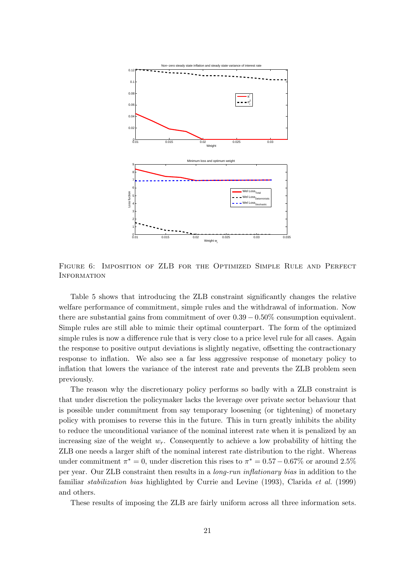

Figure 6: Imposition of ZLB for the Optimized Simple Rule and Perfect **INFORMATION** 

Table 5 shows that introducing the ZLB constraint significantly changes the relative welfare performance of commitment, simple rules and the withdrawal of information. Now there are substantial gains from commitment of over  $0.39 - 0.50\%$  consumption equivalent. Simple rules are still able to mimic their optimal counterpart. The form of the optimized simple rules is now a difference rule that is very close to a price level rule for all cases. Again the response to positive output deviations is slightly negative, offsetting the contractionary response to inflation. We also see a far less aggressive response of monetary policy to inflation that lowers the variance of the interest rate and prevents the ZLB problem seen previously.

The reason why the discretionary policy performs so badly with a ZLB constraint is that under discretion the policymaker lacks the leverage over private sector behaviour that is possible under commitment from say temporary loosening (or tightening) of monetary policy with promises to reverse this in the future. This in turn greatly inhibits the ability to reduce the unconditional variance of the nominal interest rate when it is penalized by an increasing size of the weight  $w_r$ . Consequently to achieve a low probability of hitting the ZLB one needs a larger shift of the nominal interest rate distribution to the right. Whereas under commitment  $\pi^* = 0$ , under discretion this rises to  $\pi^* = 0.57 - 0.67\%$  or around 2.5% per year. Our ZLB constraint then results in a long-run inflationary bias in addition to the familiar *stabilization bias* highlighted by Currie and Levine (1993), Clarida *et al.* (1999) and others.

These results of imposing the ZLB are fairly uniform across all three information sets.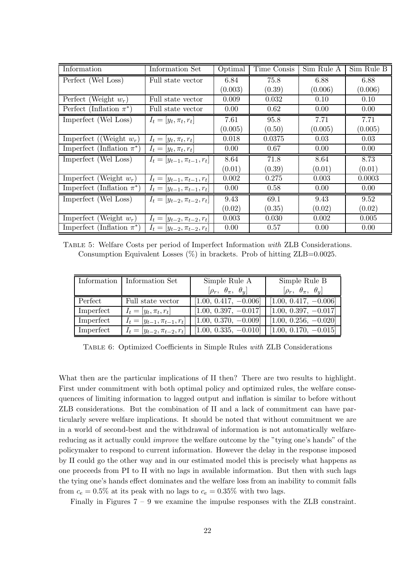| Information                    | Information Set                   | Optimal | Time Consis | Sim Rule A | Sim Rule B |
|--------------------------------|-----------------------------------|---------|-------------|------------|------------|
| Perfect (Wel Loss)             | Full state vector                 | 6.84    | 75.8        | 6.88       | 6.88       |
|                                |                                   | (0.003) | (0.39)      | (0.006)    | (0.006)    |
| Perfect (Weight $w_r$ )        | Full state vector                 | 0.009   | 0.032       | 0.10       | 0.10       |
| Perfect (Inflation $\pi^*$ )   | Full state vector                 | 0.00    | 0.62        | 0.00       | 0.00       |
| Imperfect (Wel Loss)           | $I_t = [y_t, \pi_t, r_t]$         | 7.61    | 95.8        | 7.71       | 7.71       |
|                                |                                   | (0.005) | (0.50)      | (0.005)    | (0.005)    |
| Imperfect ((Weight $w_r$ )     | $I_t = [y_t, \pi_t, r_t]$         | 0.018   | 0.0375      | 0.03       | 0.03       |
| Imperfect (Inflation $\pi^*$ ) | $I_t = [y_t, \pi_t, r_t]$         | 0.00    | 0.67        | 0.00       | 0.00       |
| Imperfect (Wel Loss)           | $I_t =  y_{t-1}, \pi_{t-1}, r_t $ | 8.64    | 71.8        | 8.64       | 8.73       |
|                                |                                   | (0.01)  | (0.39)      | (0.01)     | (0.01)     |
| Imperfect (Weight $w_r$ )      | $I_t = [y_{t-1}, \pi_{t-1}, r_t]$ | 0.002   | 0.275       | 0.003      | 0.0003     |
| Imperfect (Inflation $\pi^*$ ) | $I_t = [y_{t-1}, \pi_{t-1}, r_t]$ | 0.00    | 0.58        | 0.00       | 0.00       |
| Imperfect (Wel Loss)           | $I_t = [y_{t-2}, \pi_{t-2}, r_t]$ | 9.43    | 69.1        | 9.43       | 9.52       |
|                                |                                   | (0.02)  | (0.35)      | (0.02)     | (0.02)     |
| Imperfect (Weight $w_r$ )      | $I_t = [y_{t-2}, \pi_{t-2}, r_t]$ | 0.003   | 0.030       | 0.002      | 0.005      |
| Imperfect (Inflation $\pi^*$ ) | $I_t = [y_{t-2}, \pi_{t-2}, r_t]$ | 0.00    | 0.57        | 0.00       | 0.00       |

Table 5: Welfare Costs per period of Imperfect Information with ZLB Considerations. Consumption Equivalent Losses  $(\%)$  in brackets. Prob of hitting ZLB=0.0025.

|           | Information   Information Set     | Simple Rule A                    | Simple Rule B                                     |
|-----------|-----------------------------------|----------------------------------|---------------------------------------------------|
|           |                                   | $[\rho_r, \theta_\pi, \theta_y]$ | $[\rho_r, \theta_\pi, \theta_u]$                  |
| Perfect   | Full state vector                 | $[1.00, 0.417, -0.006]$          | $[1.00, 0.417, -0.006]$                           |
| Imperfect | $I_t = [y_t, \pi_t, r_t]$         |                                  | $[1.00, 0.397, -0.017]$ $[1.00, 0.397, -0.017]$   |
| Imperfect | $I_t = [y_{t-1}, \pi_{t-1}, r_t]$ |                                  | $[1.00, 0.370, -0.009]$   $[1.00, 0.256, -0.020]$ |
| Imperfect | $I_t = [y_{t-2}, \pi_{t-2}, r_t]$ |                                  | $[1.00, 0.335, -0.010]$ $[1.00, 0.170, -0.015]$   |

Table 6: Optimized Coefficients in Simple Rules with ZLB Considerations

What then are the particular implications of II then? There are two results to highlight. First under commitment with both optimal policy and optimized rules, the welfare consequences of limiting information to lagged output and inflation is similar to before without ZLB considerations. But the combination of II and a lack of commitment can have particularly severe welfare implications. It should be noted that without commitment we are in a world of second-best and the withdrawal of information is not automatically welfarereducing as it actually could improve the welfare outcome by the "tying one's hands" of the policymaker to respond to current information. However the delay in the response imposed by II could go the other way and in our estimated model this is precisely what happens as one proceeds from PI to II with no lags in available information. But then with such lags the tying one's hands effect dominates and the welfare loss from an inability to commit falls from  $c_e = 0.5\%$  at its peak with no lags to  $c_e = 0.35\%$  with two lags.

Finally in Figures 7 – 9 we examine the impulse responses with the ZLB constraint.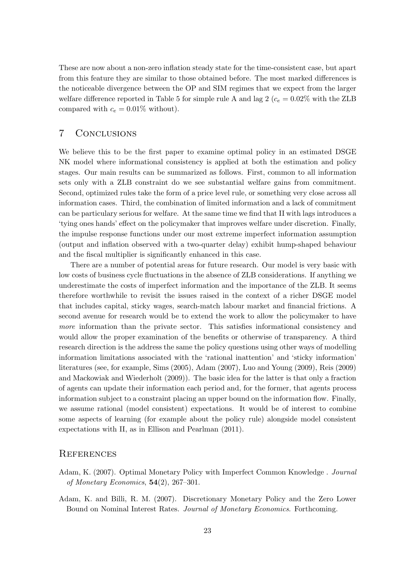These are now about a non-zero inflation steady state for the time-consistent case, but apart from this feature they are similar to those obtained before. The most marked differences is the noticeable divergence between the OP and SIM regimes that we expect from the larger welfare difference reported in Table 5 for simple rule A and lag 2 ( $c_e = 0.02\%$  with the ZLB compared with  $c_e = 0.01\%$  without).

# 7 Conclusions

We believe this to be the first paper to examine optimal policy in an estimated DSGE NK model where informational consistency is applied at both the estimation and policy stages. Our main results can be summarized as follows. First, common to all information sets only with a ZLB constraint do we see substantial welfare gains from commitment. Second, optimized rules take the form of a price level rule, or something very close across all information cases. Third, the combination of limited information and a lack of commitment can be particulary serious for welfare. At the same time we find that II with lags introduces a 'tying ones hands' effect on the policymaker that improves welfare under discretion. Finally, the impulse response functions under our most extreme imperfect information assumption (output and inflation observed with a two-quarter delay) exhibit hump-shaped behaviour and the fiscal multiplier is significantly enhanced in this case.

There are a number of potential areas for future research. Our model is very basic with low costs of business cycle fluctuations in the absence of ZLB considerations. If anything we underestimate the costs of imperfect information and the importance of the ZLB. It seems therefore worthwhile to revisit the issues raised in the context of a richer DSGE model that includes capital, sticky wages, search-match labour market and financial frictions. A second avenue for research would be to extend the work to allow the policymaker to have more information than the private sector. This satisfies informational consistency and would allow the proper examination of the benefits or otherwise of transparency. A third research direction is the address the same the policy questions using other ways of modelling information limitations associated with the 'rational inattention' and 'sticky information' literatures (see, for example, Sims (2005), Adam (2007), Luo and Young (2009), Reis (2009) and Mackowiak and Wiederholt (2009)). The basic idea for the latter is that only a fraction of agents can update their information each period and, for the former, that agents process information subject to a constraint placing an upper bound on the information flow. Finally, we assume rational (model consistent) expectations. It would be of interest to combine some aspects of learning (for example about the policy rule) alongside model consistent expectations with II, as in Ellison and Pearlman (2011).

### **REFERENCES**

- Adam, K. (2007). Optimal Monetary Policy with Imperfect Common Knowledge . Journal of Monetary Economics,  $54(2)$ , 267-301.
- Adam, K. and Billi, R. M. (2007). Discretionary Monetary Policy and the Zero Lower Bound on Nominal Interest Rates. Journal of Monetary Economics. Forthcoming.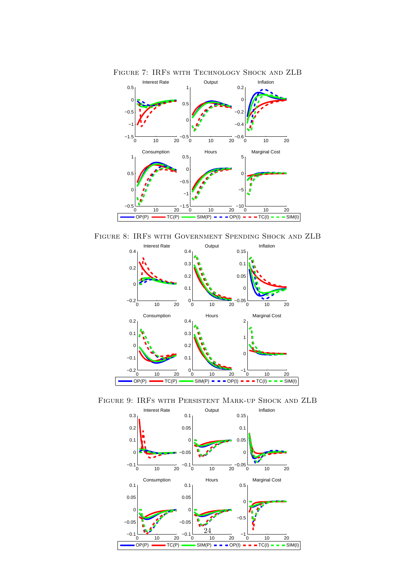

Figure 7: IRFs with Technology Shock and ZLB

Figure 8: IRFs with Government Spending Shock and ZLB



Figure 9: IRFs with Persistent Mark-up Shock and ZLB

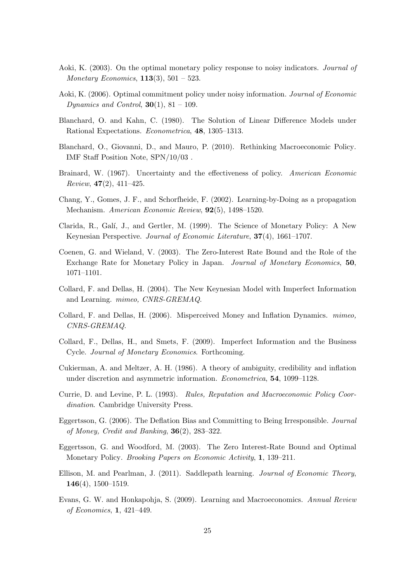- Aoki, K. (2003). On the optimal monetary policy response to noisy indicators. Journal of *Monetary Economics*, **113**(3), 501 – 523.
- Aoki, K. (2006). Optimal commitment policy under noisy information. Journal of Economic Dynamics and Control,  $30(1)$ ,  $81 - 109$ .
- Blanchard, O. and Kahn, C. (1980). The Solution of Linear Difference Models under Rational Expectations. Econometrica, 48, 1305–1313.
- Blanchard, O., Giovanni, D., and Mauro, P. (2010). Rethinking Macroeconomic Policy. IMF Staff Position Note, SPN/10/03 .
- Brainard, W. (1967). Uncertainty and the effectiveness of policy. American Economic *Review*,  $47(2)$ ,  $411-425$ .
- Chang, Y., Gomes, J. F., and Schorfheide, F. (2002). Learning-by-Doing as a propagation Mechanism. American Economic Review, 92(5), 1498–1520.
- Clarida, R., Galí, J., and Gertler, M. (1999). The Science of Monetary Policy: A New Keynesian Perspective. Journal of Economic Literature, 37(4), 1661–1707.
- Coenen, G. and Wieland, V. (2003). The Zero-Interest Rate Bound and the Role of the Exchange Rate for Monetary Policy in Japan. Journal of Monetary Economics, 50, 1071–1101.
- Collard, F. and Dellas, H. (2004). The New Keynesian Model with Imperfect Information and Learning. mimeo, CNRS-GREMAQ.
- Collard, F. and Dellas, H. (2006). Misperceived Money and Inflation Dynamics. mimeo, CNRS-GREMAQ.
- Collard, F., Dellas, H., and Smets, F. (2009). Imperfect Information and the Business Cycle. Journal of Monetary Economics. Forthcoming.
- Cukierman, A. and Meltzer, A. H. (1986). A theory of ambiguity, credibility and inflation under discretion and asymmetric information. Econometrica, 54, 1099–1128.
- Currie, D. and Levine, P. L. (1993). Rules, Reputation and Macroeconomic Policy Coordination. Cambridge University Press.
- Eggertsson, G. (2006). The Deflation Bias and Committing to Being Irresponsible. Journal of Money, Credit and Banking,  $36(2)$ ,  $283-322$ .
- Eggertsson, G. and Woodford, M. (2003). The Zero Interest-Rate Bound and Optimal Monetary Policy. Brooking Papers on Economic Activity, 1, 139–211.
- Ellison, M. and Pearlman, J. (2011). Saddlepath learning. Journal of Economic Theory, 146(4), 1500–1519.
- Evans, G. W. and Honkapohja, S. (2009). Learning and Macroeconomics. Annual Review of Economics, 1, 421–449.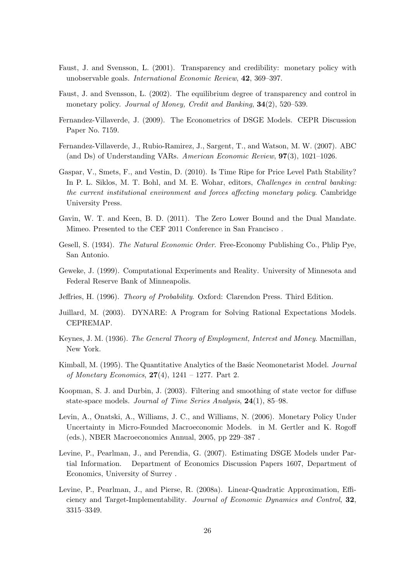- Faust, J. and Svensson, L. (2001). Transparency and credibility: monetary policy with unobservable goals. International Economic Review, 42, 369–397.
- Faust, J. and Svensson, L. (2002). The equilibrium degree of transparency and control in monetary policy. Journal of Money, Credit and Banking, 34(2), 520-539.
- Fernandez-Villaverde, J. (2009). The Econometrics of DSGE Models. CEPR Discussion Paper No. 7159.
- Fernandez-Villaverde, J., Rubio-Ramirez, J., Sargent, T., and Watson, M. W. (2007). ABC (and Ds) of Understanding VARs. American Economic Review, 97(3), 1021–1026.
- Gaspar, V., Smets, F., and Vestin, D. (2010). Is Time Ripe for Price Level Path Stability? In P. L. Siklos, M. T. Bohl, and M. E. Wohar, editors, *Challenges in central banking*: the current institutional environment and forces affecting monetary policy. Cambridge University Press.
- Gavin, W. T. and Keen, B. D. (2011). The Zero Lower Bound and the Dual Mandate. Mimeo. Presented to the CEF 2011 Conference in San Francisco .
- Gesell, S. (1934). The Natural Economic Order. Free-Economy Publishing Co., Phlip Pye, San Antonio.
- Geweke, J. (1999). Computational Experiments and Reality. University of Minnesota and Federal Reserve Bank of Minneapolis.
- Jeffries, H. (1996). Theory of Probability. Oxford: Clarendon Press. Third Edition.
- Juillard, M. (2003). DYNARE: A Program for Solving Rational Expectations Models. CEPREMAP.
- Keynes, J. M. (1936). The General Theory of Employment, Interest and Money. Macmillan, New York.
- Kimball, M. (1995). The Quantitative Analytics of the Basic Neomonetarist Model. Journal of Monetary Economics,  $27(4)$ ,  $1241 - 1277$ . Part 2.
- Koopman, S. J. and Durbin, J. (2003). Filtering and smoothing of state vector for diffuse state-space models. Journal of Time Series Analysis, 24(1), 85–98.
- Levin, A., Onatski, A., Williams, J. C., and Williams, N. (2006). Monetary Policy Under Uncertainty in Micro-Founded Macroeconomic Models. in M. Gertler and K. Rogoff (eds.), NBER Macroeconomics Annual, 2005, pp 229–387 .
- Levine, P., Pearlman, J., and Perendia, G. (2007). Estimating DSGE Models under Partial Information. Department of Economics Discussion Papers 1607, Department of Economics, University of Surrey .
- Levine, P., Pearlman, J., and Pierse, R. (2008a). Linear-Quadratic Approximation, Efficiency and Target-Implementability. Journal of Economic Dynamics and Control, 32, 3315–3349.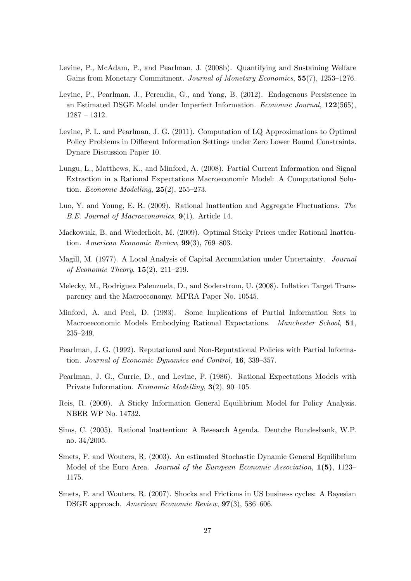- Levine, P., McAdam, P., and Pearlman, J. (2008b). Quantifying and Sustaining Welfare Gains from Monetary Commitment. Journal of Monetary Economics, 55(7), 1253–1276.
- Levine, P., Pearlman, J., Perendia, G., and Yang, B. (2012). Endogenous Persistence in an Estimated DSGE Model under Imperfect Information. Economic Journal, 122(565), 1287 – 1312.
- Levine, P. L. and Pearlman, J. G. (2011). Computation of LQ Approximations to Optimal Policy Problems in Different Information Settings under Zero Lower Bound Constraints. Dynare Discussion Paper 10.
- Lungu, L., Matthews, K., and Minford, A. (2008). Partial Current Information and Signal Extraction in a Rational Expectations Macroeconomic Model: A Computational Solution. Economic Modelling,  $25(2)$ ,  $255-273$ .
- Luo, Y. and Young, E. R. (2009). Rational Inattention and Aggregate Fluctuations. The B.E. Journal of Macroeconomics, 9(1). Article 14.
- Mackowiak, B. and Wiederholt, M. (2009). Optimal Sticky Prices under Rational Inattention. American Economic Review, 99(3), 769–803.
- Magill, M. (1977). A Local Analysis of Capital Accumulation under Uncertainty. Journal of Economic Theory, 15(2), 211–219.
- Melecky, M., Rodriguez Palenzuela, D., and Soderstrom, U. (2008). Inflation Target Transparency and the Macroeconomy. MPRA Paper No. 10545.
- Minford, A. and Peel, D. (1983). Some Implications of Partial Information Sets in Macroeeconomic Models Embodying Rational Expectations. Manchester School, 51, 235–249.
- Pearlman, J. G. (1992). Reputational and Non-Reputational Policies with Partial Information. Journal of Economic Dynamics and Control, 16, 339–357.
- Pearlman, J. G., Currie, D., and Levine, P. (1986). Rational Expectations Models with Private Information. Economic Modelling, 3(2), 90–105.
- Reis, R. (2009). A Sticky Information General Equilibrium Model for Policy Analysis. NBER WP No. 14732.
- Sims, C. (2005). Rational Inattention: A Research Agenda. Deutche Bundesbank, W.P. no. 34/2005.
- Smets, F. and Wouters, R. (2003). An estimated Stochastic Dynamic General Equilibrium Model of the Euro Area. *Journal of the European Economic Association*, 1(5), 1123– 1175.
- Smets, F. and Wouters, R. (2007). Shocks and Frictions in US business cycles: A Bayesian DSGE approach. American Economic Review, 97(3), 586–606.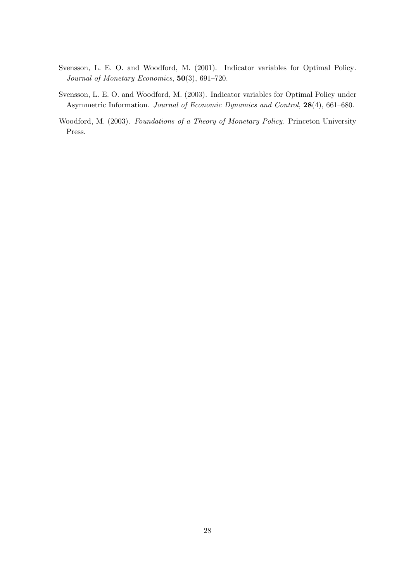- Svensson, L. E. O. and Woodford, M. (2001). Indicator variables for Optimal Policy. Journal of Monetary Economics, 50(3), 691–720.
- Svensson, L. E. O. and Woodford, M. (2003). Indicator variables for Optimal Policy under Asymmetric Information. Journal of Economic Dynamics and Control, 28(4), 661–680.
- Woodford, M. (2003). Foundations of a Theory of Monetary Policy. Princeton University Press.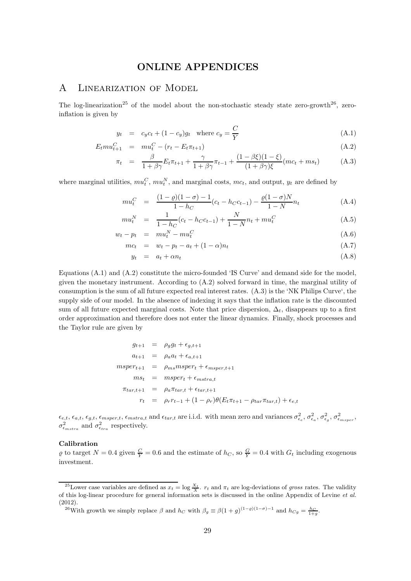# ONLINE APPENDICES

# A Linearization of Model

The log-linearization<sup>25</sup> of the model about the non-stochastic steady state zero-growth<sup>26</sup>, zeroinflation is given by

$$
y_t = c_y c_t + (1 - c_y) g_t \quad \text{where } c_y = \frac{C}{Y}
$$
\n(A.1)

$$
E_t m u_{t+1}^C = m u_t^C - (r_t - E_t \pi_{t+1})
$$
\n(A.2)

$$
\pi_t = \frac{\beta}{1 + \beta \gamma} E_t \pi_{t+1} + \frac{\gamma}{1 + \beta \gamma} \pi_{t-1} + \frac{(1 - \beta \xi)(1 - \xi)}{(1 + \beta \gamma)\xi} (mc_t + ms_t)
$$
(A.3)

where marginal utilities,  $mu_t^C, mu_t^N$ , and marginal costs,  $mc_t$ , and output,  $y_t$  are defined by

$$
mu_t^C = \frac{(1-\varrho)(1-\sigma) - 1}{1 - h_C}(c_t - h_C c_{t-1}) - \frac{\varrho(1-\sigma)N}{1 - N}n_t
$$
\n(A.4)

$$
mu_t^N = \frac{1}{1 - h_C}(c_t - h_C c_{t-1}) + \frac{N}{1 - N}n_t + m u_t^C
$$
\n(A.5)

$$
w_t - p_t = m u_t^N - m u_t^C \tag{A.6}
$$

$$
mc_t = w_t - p_t - a_t + (1 - \alpha)n_t \tag{A.7}
$$

$$
y_t = a_t + \alpha n_t \tag{A.8}
$$

Equations (A.1) and (A.2) constitute the micro-founded 'IS Curve' and demand side for the model, given the monetary instrument. According to (A.2) solved forward in time, the marginal utility of consumption is the sum of all future expected real interest rates. (A.3) is the 'NK Philips Curve', the supply side of our model. In the absence of indexing it says that the inflation rate is the discounted sum of all future expected marginal costs. Note that price dispersion,  $\Delta_t$ , disappears up to a first order approximation and therefore does not enter the linear dynamics. Finally, shock processes and the Taylor rule are given by

$$
g_{t+1} = \rho_g g_t + \epsilon_{g,t+1}
$$
  
\n
$$
a_{t+1} = \rho_a a_t + \epsilon_{a,t+1}
$$
  
\n
$$
msper_{t+1} = \rho_{ms} msper_t + \epsilon_{msper,t+1}
$$
  
\n
$$
ms_t = msper_t + \epsilon_{mstra,t}
$$
  
\n
$$
\pi_{tar,t+1} = \rho_a \pi_{tar,t} + \epsilon_{tar,t+1}
$$
  
\n
$$
r_t = \rho_r r_{t-1} + (1 - \rho_r) \theta(E_t \pi_{t+1} - \rho_{tar} \pi_{tar,t}) + \epsilon_{e,t}
$$

 $\epsilon_{e,t}, \epsilon_{a,t}, \epsilon_{g,t}, \epsilon_{msper,t}, \epsilon_{mstra,t}$  and  $\epsilon_{tar,t}$  are i.i.d. with mean zero and variances  $\sigma_{\epsilon_e}^2, \sigma_{\epsilon_a}^2, \sigma_{\epsilon_g}^2, \sigma_{\epsilon_{msper}}^2,$  $\sigma_{\epsilon_{mstra}}^2$  and  $\sigma_{\epsilon_{tra}}^2$  respectively.

### Calibration

 $\varrho$  to target  $N = 0.4$  given  $\frac{C}{Y} = 0.6$  and the estimate of  $h_C$ , so  $\frac{G}{Y} = 0.4$  with  $G_t$  including exogenous investment.

<sup>&</sup>lt;sup>25</sup>Lower case variables are defined as  $x_t = \log \frac{X_t}{X}$ .  $r_t$  and  $\pi_t$  are log-deviations of gross rates. The validity of this log-linear procedure for general information sets is discussed in the online Appendix of Levine et al. (2012).

<sup>&</sup>lt;sup>26</sup>With growth we simply replace  $\beta$  and  $h_C$  with  $\beta_g \equiv \beta(1+g)^{(1-\varrho)(1-\sigma)-1}$  and  $h_{Cg} = \frac{h_C}{1+g}$ .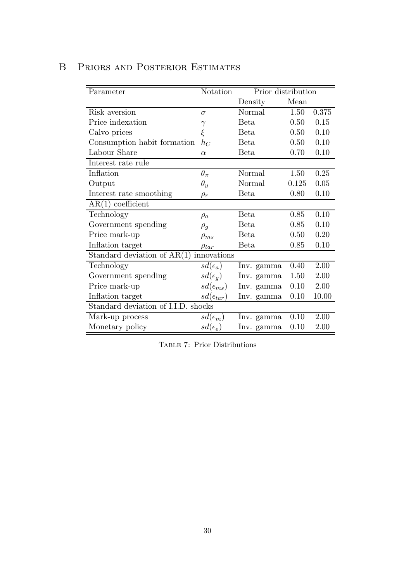| Parameter                           | Notation             | Prior distribution |       |       |  |
|-------------------------------------|----------------------|--------------------|-------|-------|--|
|                                     |                      | Density            | Mean  |       |  |
| Risk aversion                       | $\sigma$             | Normal             | 1.50  | 0.375 |  |
| Price indexation                    | $\gamma$             | Beta               | 0.50  | 0.15  |  |
| Calvo prices                        | $\xi$                | <b>Beta</b>        | 0.50  | 0.10  |  |
| Consumption habit formation         | $h_C$                | Beta               | 0.50  | 0.10  |  |
| Labour Share                        | $\alpha$             | Beta               | 0.70  | 0.10  |  |
| Interest rate rule                  |                      |                    |       |       |  |
| Inflation                           | $\theta_\pi$         | Normal             | 1.50  | 0.25  |  |
| Output                              | $\theta_y$           | Normal             | 0.125 | 0.05  |  |
| Interest rate smoothing             | $\rho_r$             | Beta               | 0.80  | 0.10  |  |
| $AR(1)$ coefficient                 |                      |                    |       |       |  |
| Technology                          | $\rho_a$             | Beta               | 0.85  | 0.10  |  |
| Government spending                 | $\rho_g$             | Beta               | 0.85  | 0.10  |  |
| Price mark-up                       | $\rho_{ms}$          | <b>Beta</b>        | 0.50  | 0.20  |  |
| Inflation target                    | $\rho_{tar}$         | Beta               | 0.85  | 0.10  |  |
| Standard deviation of $AR(1)$       | innovations          |                    |       |       |  |
| Technology                          | $sd(\epsilon_a)$     | Inv. gamma         | 0.40  | 2.00  |  |
| Government spending                 | $sd(\epsilon_q)$     | Inv. gamma         | 1.50  | 2.00  |  |
| Price mark-up                       | $sd(\epsilon_{ms})$  | Inv. gamma         | 0.10  | 2.00  |  |
| Inflation target                    | $sd(\epsilon_{tar})$ | Inv. gamma         | 0.10  | 10.00 |  |
| Standard deviation of I.I.D. shocks |                      |                    |       |       |  |
| Mark-up process                     | $sd(\epsilon_m)$     | Inv. gamma         | 0.10  | 2.00  |  |
| Monetary policy                     | $sd(\epsilon_e)$     | Inv. gamma         | 0.10  | 2.00  |  |

# B Priors and Posterior Estimates

Table 7: Prior Distributions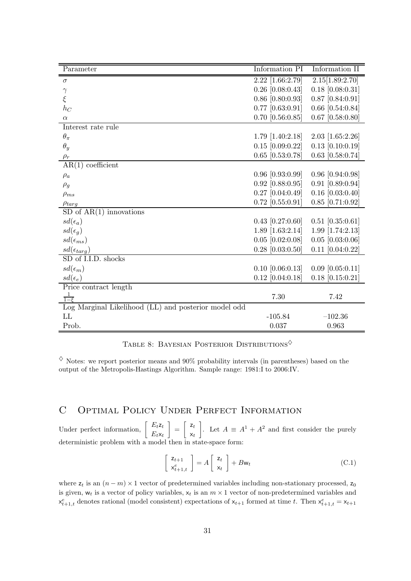| Parameter                                                | Information PI         | Information II     |
|----------------------------------------------------------|------------------------|--------------------|
| $\sigma$                                                 | $2.22$ [1.66:2.79]     | 2.15[1.89:2.70]    |
| $\gamma$                                                 | $0.26$ [0.08:0.43]     | $0.18$ [0.08:0.31] |
| $\xi$                                                    | $0.86$ [0.80:0.93]     | $0.87$ [0.84:0.91] |
| $\mathfrak{h}_C$                                         | $0.77$ [0.63:0.91]     | $0.66$ [0.54:0.84] |
| $\alpha$                                                 | $0.70$ [0.56:0.85]     | $0.67$ [0.58:0.80] |
| Interest rate rule                                       |                        |                    |
| $\theta_{\pi}$                                           | $1.79$ [ $1.40:2.18$ ] | $2.03$ [1.65:2.26] |
| $\theta_y$                                               | $0.15$ [0.09:0.22]     | $0.13$ [0.10:0.19] |
| $\rho_r$                                                 | $0.65$ [0.53:0.78]     | $0.63$ [0.58:0.74] |
| $AR(1)$ coefficient                                      |                        |                    |
| $\rho_a$                                                 | $0.96$ [0.93:0.99]     | $0.96$ [0.94:0.98] |
| $\rho_g$                                                 | $0.92$ [0.88:0.95]     | $0.91$ [0.89:0.94] |
| $\rho_{ms}$                                              | $0.27$ [0.04:0.49]     | $0.16$ [0.03:0.40] |
| $\rho_{targ}$                                            | $0.72$ [0.55:0.91]     | $0.85$ [0.71:0.92] |
| $SD$ of $AR(1)$ innovations                              |                        |                    |
| $sd(\epsilon_a)$                                         | $0.43$ [0.27:0.60]     | $0.51$ [0.35:0.61] |
| $sd(\epsilon_q)$                                         | 1.89 $[1.63:2.14]$     | $1.99$ [1.74:2.13] |
| $sd(\epsilon_{ms})$                                      | $0.05$ [0.02:0.08]     | $0.05$ [0.03:0.06] |
| $sd(\epsilon_{targ})$                                    | $0.28$ [0.03:0.50]     | $0.11$ [0.04:0.22] |
| SD of I.I.D. shocks                                      |                        |                    |
| $sd(\epsilon_m)$                                         | $0.10$ [0.06:0.13]     | $0.09$ [0.05:0.11] |
| $sd(\epsilon_e)$                                         | $0.12$ [0.04:0.18]     | $0.18$ [0.15:0.21] |
| Price contract length                                    |                        |                    |
| $\frac{1}{1-\epsilon}$                                   | 7.30                   | 7.42               |
| $Log$ Marginal Likelihood $(LL)$ and posterior model odd |                        |                    |
| LL                                                       | $-105.84$              | $-102.36$          |
| Prob.                                                    | 0.037                  | 0.963              |

TABLE 8: BAYESIAN POSTERIOR DISTRIBUTIONS

 $\diamond$  Notes: we report posterior means and 90% probability intervals (in parentheses) based on the output of the Metropolis-Hastings Algorithm. Sample range: 1981:I to 2006:IV.

# C Optimal Policy Under Perfect Information

Under perfect information,  $\begin{bmatrix} E_t z_t \\ E_s \end{bmatrix}$  $E_t$ x $_t$  $\Big] = \Big[ \begin{array}{c} {\sf z}_t \end{array}$  $x_t$ . Let  $A ≡ A<sup>1</sup> + A<sup>2</sup>$  and first consider the purely deterministic problem with a model then in state-space form:

$$
\begin{bmatrix} z_{t+1} \\ x_{t+1,t}^e \end{bmatrix} = A \begin{bmatrix} z_t \\ x_t \end{bmatrix} + Bw_t
$$
 (C.1)

where  $z_t$  is an  $(n - m) \times 1$  vector of predetermined variables including non-stationary processed,  $z_0$ is given,  $w_t$  is a vector of policy variables,  $x_t$  is an  $m \times 1$  vector of non-predetermined variables and  $\mathsf{x}_{t+1,t}^e$  denotes rational (model consistent) expectations of  $\mathsf{x}_{t+1}$  formed at time t. Then  $\mathsf{x}_{t+1,t}^e = \mathsf{x}_{t+1}$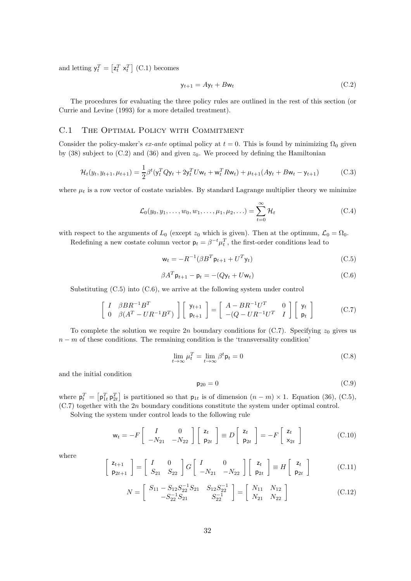and letting  $y_t^T = \left[z_t^T \times_t^T\right]$  (C.1) becomes

$$
y_{t+1} = Ay_t + Bw_t \tag{C.2}
$$

The procedures for evaluating the three policy rules are outlined in the rest of this section (or Currie and Levine (1993) for a more detailed treatment).

## C.1 The Optimal Policy with Commitment

Consider the policy-maker's ex-ante optimal policy at  $t = 0$ . This is found by minimizing  $\Omega_0$  given by  $(38)$  subject to  $(C.2)$  and  $(36)$  and given  $z_0$ . We proceed by defining the Hamiltonian

$$
\mathcal{H}_t(y_t, y_{t+1}, \mu_{t+1}) = \frac{1}{2} \beta^t (y_t^T Q y_t + 2y_t^T U w_t + w_t^T R w_t) + \mu_{t+1} (A y_t + B w_t - y_{t+1})
$$
(C.3)

where  $\mu_t$  is a row vector of costate variables. By standard Lagrange multiplier theory we minimize

$$
\mathcal{L}_0(y_0, y_1, \dots, w_0, w_1, \dots, \mu_1, \mu_2, \dots) = \sum_{t=0}^{\infty} \mathcal{H}_t
$$
\n(C.4)

with respect to the arguments of  $L_0$  (except  $z_0$  which is given). Then at the optimum,  $\mathcal{L}_0 = \Omega_0$ .

Redefining a new costate column vector  $p_t = \beta^{-t} \mu_t^T$ , the first-order conditions lead to

$$
\mathbf{w}_t = -R^{-1}(\beta B^T \mathbf{p}_{t+1} + U^T \mathbf{y}_t)
$$
\n(C.5)

$$
\beta A^T \mathsf{p}_{t+1} - \mathsf{p}_t = -(Q\mathsf{y}_t + U\mathsf{w}_t) \tag{C.6}
$$

Substituting (C.5) into (C.6), we arrive at the following system under control

$$
\begin{bmatrix} I & \beta BR^{-1}B^T \\ 0 & \beta(A^T - UR^{-1}B^T) \end{bmatrix} \begin{bmatrix} y_{t+1} \\ p_{t+1} \end{bmatrix} = \begin{bmatrix} A - BR^{-1}U^T & 0 \\ -(Q - UR^{-1}U^T & I \end{bmatrix} \begin{bmatrix} y_t \\ p_t \end{bmatrix}
$$
(C.7)

To complete the solution we require 2n boundary conditions for  $(C.7)$ . Specifying  $z_0$  gives us  $n - m$  of these conditions. The remaining condition is the 'transversality condition'

$$
\lim_{t \to \infty} \mu_t^T = \lim_{t \to \infty} \beta^t \mathsf{p}_t = 0 \tag{C.8}
$$

and the initial condition

$$
\mathsf{p}_{20} = 0 \tag{C.9}
$$

where  $p_t^T = \left[p_{1t}^T p_{2t}^T\right]$  is partitioned so that  $p_{1t}$  is of dimension  $(n - m) \times 1$ . Equation (36), (C.5), (C.7) together with the 2n boundary conditions constitute the system under optimal control.

Solving the system under control leads to the following rule

$$
\mathsf{w}_t = -F \left[ \begin{array}{cc} I & 0 \\ -N_{21} & -N_{22} \end{array} \right] \left[ \begin{array}{c} \mathsf{z}_t \\ \mathsf{p}_{2t} \end{array} \right] \equiv D \left[ \begin{array}{c} \mathsf{z}_t \\ \mathsf{p}_{2t} \end{array} \right] = -F \left[ \begin{array}{c} \mathsf{z}_t \\ \mathsf{x}_{2t} \end{array} \right] \tag{C.10}
$$

where

$$
\begin{bmatrix} z_{t+1} \\ p_{2t+1} \end{bmatrix} = \begin{bmatrix} I & 0 \\ S_{21} & S_{22} \end{bmatrix} G \begin{bmatrix} I & 0 \\ -N_{21} & -N_{22} \end{bmatrix} \begin{bmatrix} z_t \\ p_{2t} \end{bmatrix} \equiv H \begin{bmatrix} z_t \\ p_{2t} \end{bmatrix}
$$
 (C.11)

$$
N = \begin{bmatrix} S_{11} - S_{12}S_{22}^{-1}S_{21} & S_{12}S_{22}^{-1} \\ -S_{22}^{-1}S_{21} & S_{22}^{-1} \end{bmatrix} = \begin{bmatrix} N_{11} & N_{12} \\ N_{21} & N_{22} \end{bmatrix}
$$
(C.12)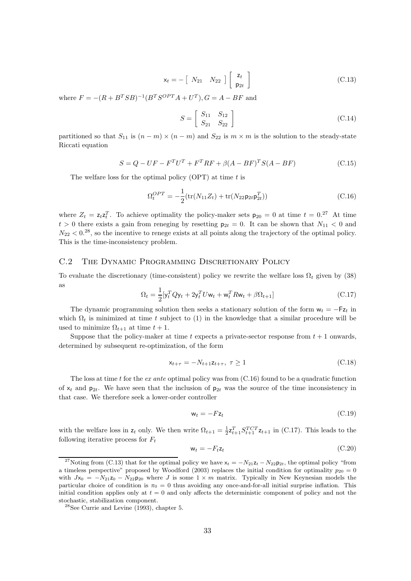$$
\mathsf{x}_t = -\left[\begin{array}{cc} N_{21} & N_{22} \end{array}\right] \left[\begin{array}{c} \mathsf{z}_t \\ \mathsf{p}_{2t} \end{array}\right] \tag{C.13}
$$

where  $F = -(R + B^{T}SB)^{-1}(B^{T}S^{OPT}A + U^{T}), G = A - BF$  and

$$
S = \left[ \begin{array}{cc} S_{11} & S_{12} \\ S_{21} & S_{22} \end{array} \right] \tag{C.14}
$$

partitioned so that  $S_{11}$  is  $(n-m) \times (n-m)$  and  $S_{22}$  is  $m \times m$  is the solution to the steady-state Riccati equation

$$
S = Q - UF - FTUT + FTRF + \beta(A - BF)TS(A - BF)
$$
 (C.15)

The welfare loss for the optimal policy  $(OPT)$  at time t is

$$
\Omega_t^{OPT} = -\frac{1}{2}(\text{tr}(N_{11}Z_t) + \text{tr}(N_{22}\mathsf{p}_{2t}\mathsf{p}_{2t}^T))
$$
\n(C.16)

where  $Z_t = z_t z_t^T$ . To achieve optimality the policy-maker sets  $p_{20} = 0$  at time  $t = 0.27$  At time  $t > 0$  there exists a gain from reneging by resetting  $p_{2t} = 0$ . It can be shown that  $N_{11} < 0$  and  $N_{22} < 0.^{28}$ , so the incentive to renege exists at all points along the trajectory of the optimal policy. This is the time-inconsistency problem.

## C.2 The Dynamic Programming Discretionary Policy

To evaluate the discretionary (time-consistent) policy we rewrite the welfare loss  $\Omega_t$  given by (38) as

$$
\Omega_t = \frac{1}{2} [y_t^T Q y_t + 2y_t^T U w_t + w_t^T R w_t + \beta \Omega_{t+1}]
$$
\n(C.17)

The dynamic programming solution then seeks a stationary solution of the form  $w_t = -Fz_t$  in which  $\Omega_t$  is minimized at time t subject to (1) in the knowledge that a similar procedure will be used to minimize  $\Omega_{t+1}$  at time  $t+1$ .

Suppose that the policy-maker at time t expects a private-sector response from  $t + 1$  onwards, determined by subsequent re-optimization, of the form

$$
\mathbf{x}_{t+\tau} = -N_{t+1} \mathbf{z}_{t+\tau}, \ \tau \ge 1 \tag{C.18}
$$

The loss at time t for the ex ante optimal policy was from  $(C.16)$  found to be a quadratic function of  $x_t$  and  $p_{2t}$ . We have seen that the inclusion of  $p_{2t}$  was the source of the time inconsistency in that case. We therefore seek a lower-order controller

$$
\mathbf{w}_t = -F\mathbf{z}_t \tag{C.19}
$$

with the welfare loss in  $z_t$  only. We then write  $\Omega_{t+1} = \frac{1}{2} z_{t+1}^T S_{t+1}^{TCT} z_{t+1}$  in (C.17). This leads to the following iterative process for  $F_t$ 

$$
\mathbf{w}_t = -F_t \mathbf{z}_t \tag{C.20}
$$

<sup>&</sup>lt;sup>27</sup>Noting from (C.13) that for the optimal policy we have  $x_t = -N_{21}z_t - N_{22}p_{2t}$ , the optimal policy "from a timeless perspective" proposed by Woodford (2003) replaces the initial condition for optimality  $p_{20} = 0$ with  $Jx_0 = -N_{21}z_0 - N_{22}p_{20}$  where J is some  $1 \times m$  matrix. Typically in New Keynesian models the particular choice of condition is  $\pi_0 = 0$  thus avoiding any once-and-for-all initial surprise inflation. This initial condition applies only at  $t = 0$  and only affects the deterministic component of policy and not the stochastic, stabilization component.

 $28$ See Currie and Levine (1993), chapter 5.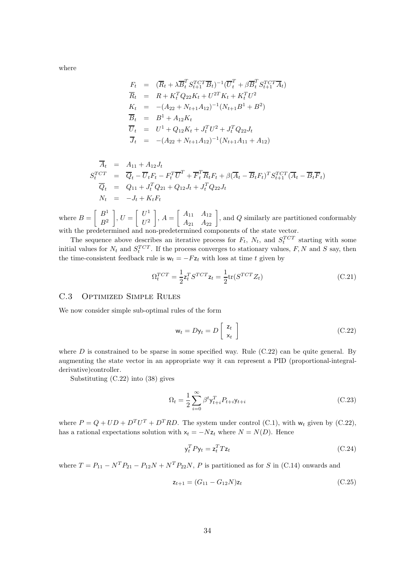where

$$
F_t = (\overline{R}_t + \lambda \overline{B}_t^T S_{t+1}^{TCT} \overline{B}_t)^{-1} (\overline{U}_t^T + \beta \overline{B}_t^T S_{t+1}^{TCT} \overline{A}_t)
$$
  
\n
$$
\overline{R}_t = R + K_t^T Q_{22} K_t + U^{2T} K_t + K_t^T U^2
$$
  
\n
$$
K_t = -(A_{22} + N_{t+1} A_{12})^{-1} (N_{t+1} B^1 + B^2)
$$
  
\n
$$
\overline{B}_t = B^1 + A_{12} K_t
$$
  
\n
$$
\overline{U}_t = U^1 + Q_{12} K_t + J_t^T U^2 + J_t^T Q_{22} J_t
$$
  
\n
$$
\overline{J}_t = -(A_{22} + N_{t+1} A_{12})^{-1} (N_{t+1} A_{11} + A_{12})
$$

$$
\overline{A}_t = A_{11} + A_{12}J_t
$$
\n
$$
S_t^{TCT} = \overline{Q}_t - \overline{U}_tF_t - F_t^T\overline{U}^T + \overline{F}_t^T\overline{R}_tF_t + \beta(\overline{A}_t - \overline{B}_tF_t)^T S_{t+1}^{TCT}(\overline{A}_t - \overline{B}_t\overline{F}_t)
$$
\n
$$
\overline{Q}_t = Q_{11} + J_t^TQ_{21} + Q_{12}J_t + J_t^TQ_{22}J_t
$$
\n
$$
N_t = -J_t + K_tF_t
$$

where  $B = \begin{bmatrix} B^1 \\ B^2 \end{bmatrix}$  $B<sup>2</sup>$  $\Big\}, U = \Big[ \begin{array}{c} U^1 \\ U^2 \end{array} \Big]$  $\,U^2$  $\left[ \begin{array}{cc} A_{11} & A_{12} \ A_{21} & A_{22} \end{array} \right]$ , and Q similarly are partitioned conformably with the predetermined and non-predetermined components of the state vector.

The sequence above describes an iterative process for  $F_t$ ,  $N_t$ , and  $S_t^{TCT}$  starting with some initial values for  $N_t$  and  $S_t^{TCT}$ . If the process converges to stationary values, F, N and S say, then the time-consistent feedback rule is  $w_t = -Fz_t$  with loss at time t given by

$$
\Omega_t^{TCT} = \frac{1}{2} \mathbf{z}_t^T S^{TCT} \mathbf{z}_t = \frac{1}{2} \text{tr}(S^{TCT} Z_t)
$$
\n(C.21)

#### C.3 Optimized Simple Rules

We now consider simple sub-optimal rules of the form

$$
\mathsf{w}_t = D\mathsf{y}_t = D\left[\begin{array}{c} \mathsf{z}_t \\ \mathsf{x}_t \end{array}\right] \tag{C.22}
$$

where  $D$  is constrained to be sparse in some specified way. Rule  $(C.22)$  can be quite general. By augmenting the state vector in an appropriate way it can represent a PID (proportional-integralderivative)controller.

Substituting (C.22) into (38) gives

$$
\Omega_t = \frac{1}{2} \sum_{i=0}^{\infty} \beta^t y_{t+i}^T P_{t+i} y_{t+i}
$$
\n(C.23)

where  $P = Q + UD + D^T U^T + D^T RD$ . The system under control (C.1), with  $w_t$  given by (C.22), has a rational expectations solution with  $x_t = -Nz_t$  where  $N = N(D)$ . Hence

$$
\mathbf{y}_t^T P \mathbf{y}_t = \mathbf{z}_t^T T \mathbf{z}_t \tag{C.24}
$$

where  $T = P_{11} - N^T P_{21} - P_{12} N + N^T P_{22} N$ , P is partitioned as for S in (C.14) onwards and

$$
z_{t+1} = (G_{11} - G_{12}N)z_t
$$
\n(C.25)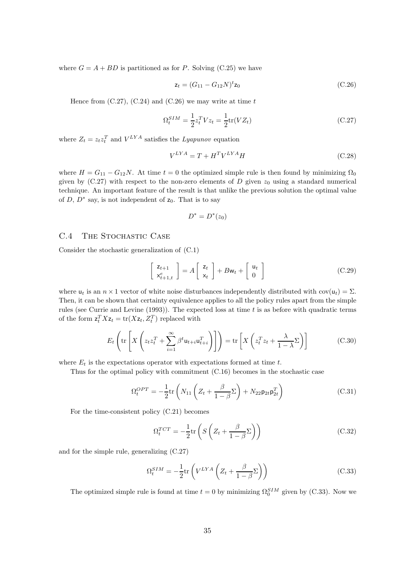where  $G = A + BD$  is partitioned as for P. Solving (C.25) we have

$$
z_t = (G_{11} - G_{12}N)^t z_0 \tag{C.26}
$$

Hence from  $(C.27)$ ,  $(C.24)$  and  $(C.26)$  we may write at time t

$$
\Omega_t^{SIM} = \frac{1}{2} z_t^T V z_t = \frac{1}{2} \text{tr}(V Z_t)
$$
\n(C.27)

where  $Z_t = z_t z_t^T$  and  $V^{LYA}$  satisfies the *Lyapunov* equation

$$
V^{LYA} = T + H^T V^{LYA} H \tag{C.28}
$$

where  $H = G_{11} - G_{12}N$ . At time  $t = 0$  the optimized simple rule is then found by minimizing  $\Omega_0$ given by (C.27) with respect to the non-zero elements of D given  $z_0$  using a standard numerical technique. An important feature of the result is that unlike the previous solution the optimal value of  $D, D^*$  say, is not independent of  $z_0$ . That is to say

$$
D^* = D^*(z_0)
$$

### C.4 THE STOCHASTIC CASE

Consider the stochastic generalization of (C.1)

$$
\begin{bmatrix} z_{t+1} \\ x_{t+1,t}^e \end{bmatrix} = A \begin{bmatrix} z_t \\ x_t \end{bmatrix} + Bw_t + \begin{bmatrix} u_t \\ 0 \end{bmatrix}
$$
 (C.29)

where  $u_t$  is an  $n \times 1$  vector of white noise disturbances independently distributed with cov( $u_t$ ) =  $\Sigma$ . Then, it can be shown that certainty equivalence applies to all the policy rules apart from the simple rules (see Currie and Levine (1993)). The expected loss at time  $t$  is as before with quadratic terms of the form  $\mathbf{z}_t^T X \mathbf{z}_t = \text{tr}(X \mathbf{z}_t, Z_t^T)$  replaced with

$$
E_t\left(\text{tr}\left[X\left(z_t z_t^T + \sum_{i=1}^{\infty} \beta^t \mathbf{u}_{t+i} \mathbf{u}_{t+i}^T\right)\right]\right) = \text{tr}\left[X\left(z_t^T z_t + \frac{\lambda}{1-\lambda} \Sigma\right)\right]
$$
(C.30)

where  $E_t$  is the expectations operator with expectations formed at time t.

Thus for the optimal policy with commitment (C.16) becomes in the stochastic case

$$
\Omega_t^{OPT} = -\frac{1}{2} \text{tr} \left( N_{11} \left( Z_t + \frac{\beta}{1 - \beta} \Sigma \right) + N_{22} \mathsf{p}_{2t} \mathsf{p}_{2t}^T \right) \tag{C.31}
$$

For the time-consistent policy (C.21) becomes

$$
\Omega_t^{TCT} = -\frac{1}{2} \text{tr}\left( S \left( Z_t + \frac{\beta}{1 - \beta} \Sigma \right) \right) \tag{C.32}
$$

and for the simple rule, generalizing (C.27)

$$
\Omega_t^{SIM} = -\frac{1}{2} \text{tr}\left(V^{LYA} \left(Z_t + \frac{\beta}{1 - \beta} \Sigma\right)\right) \tag{C.33}
$$

The optimized simple rule is found at time  $t = 0$  by minimizing  $\Omega_0^{SIM}$  given by (C.33). Now we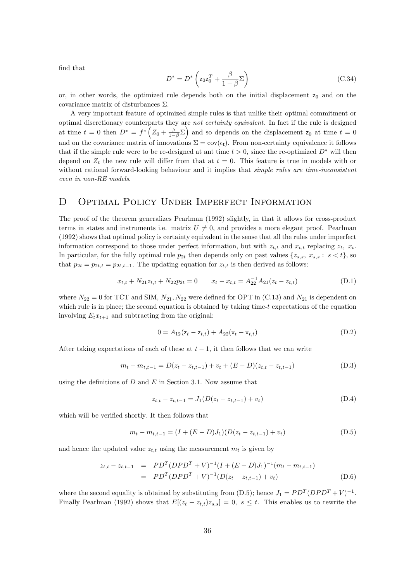find that

$$
D^* = D^* \left( z_0 z_0^T + \frac{\beta}{1 - \beta} \Sigma \right) \tag{C.34}
$$

or, in other words, the optimized rule depends both on the initial displacement  $z_0$  and on the covariance matrix of disturbances Σ.

A very important feature of optimized simple rules is that unlike their optimal commitment or optimal discretionary counterparts they are not certainty equivalent. In fact if the rule is designed at time  $t = 0$  then  $D^* = f^* \left( Z_0 + \frac{\beta}{1-\beta} \Sigma \right)$  and so depends on the displacement  $z_0$  at time  $t = 0$ and on the covariance matrix of innovations  $\Sigma = \text{cov}(\epsilon_t)$ . From non-certainty equivalence it follows that if the simple rule were to be re-designed at ant time  $t > 0$ , since the re-optimized  $D^*$  will then depend on  $Z_t$  the new rule will differ from that at  $t = 0$ . This feature is true in models with or without rational forward-looking behaviour and it implies that *simple rules are time-inconsistent* even in non-RE models.

# D OPTIMAL POLICY UNDER IMPERFECT INFORMATION

The proof of the theorem generalizes Pearlman (1992) slightly, in that it allows for cross-product terms in states and instruments i.e. matrix  $U \neq 0$ , and provides a more elegant proof. Pearlman (1992) shows that optimal policy is certainty equivalent in the sense that all the rules under imperfect information correspond to those under perfect information, but with  $z_{t,t}$  and  $x_{t,t}$  replacing  $z_t$ ,  $x_t$ . In particular, for the fully optimal rule  $p_{2t}$  then depends only on past values  $\{z_{s,s}, x_{s,s} : s < t\}$ , so that  $p_{2t} = p_{2t,t} = p_{2t,t-1}$ . The updating equation for  $z_{t,t}$  is then derived as follows:

$$
x_{t,t} + N_{21}z_{t,t} + N_{22}p_{2t} = 0 \t x_t - x_{t,t} = A_{22}^{-1}A_{21}(z_t - z_{t,t})
$$
(D.1)

where  $N_{22} = 0$  for TCT and SIM,  $N_{21}$ ,  $N_{22}$  were defined for OPT in (C.13) and  $N_{21}$  is dependent on which rule is in place; the second equation is obtained by taking time- $t$  expectations of the equation involving  $E_t x_{t+1}$  and subtracting from the original:

$$
0 = A_{12}(z_t - z_{t,t}) + A_{22}(x_t - x_{t,t})
$$
\n(D.2)

After taking expectations of each of these at  $t-1$ , it then follows that we can write

$$
m_t - m_{t,t-1} = D(z_t - z_{t,t-1}) + v_t + (E - D)(z_{t,t} - z_{t,t-1})
$$
\n(D.3)

using the definitions of  $D$  and  $E$  in Section 3.1. Now assume that

$$
z_{t,t} - z_{t,t-1} = J_1(D(z_t - z_{t,t-1}) + v_t)
$$
\n(D.4)

which will be verified shortly. It then follows that

$$
m_t - m_{t,t-1} = (I + (E - D)J_1)(D(z_t - z_{t,t-1}) + v_t)
$$
\n(D.5)

and hence the updated value  $z_{t,t}$  using the measurement  $m_t$  is given by

$$
z_{t,t} - z_{t,t-1} = PD^T(DPD^T + V)^{-1}(I + (E - D)J_1)^{-1}(m_t - m_{t,t-1})
$$
  
=  $PD^T(DPD^T + V)^{-1}(D(z_t - z_{t,t-1}) + v_t)$  (D.6)

where the second equality is obtained by substituting from (D.5); hence  $J_1 = PD^T(DPD^T + V)^{-1}$ . Finally Pearlman (1992) shows that  $E[(z_t - z_{t,t})z_{s,s}] = 0, s \leq t$ . This enables us to rewrite the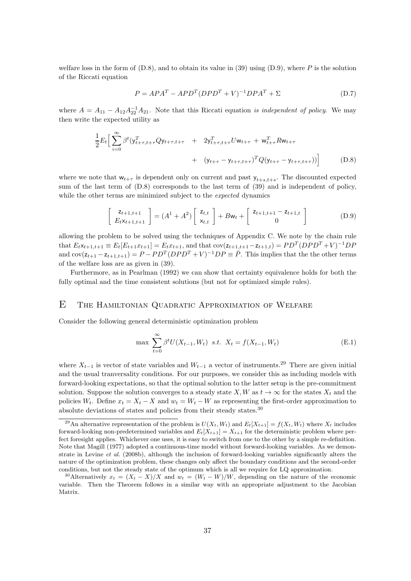welfare loss in the form of  $(D.8)$ , and to obtain its value in (39) using  $(D.9)$ , where P is the solution of the Riccati equation

$$
P = APA^T - APD^T (DPD^T + V)^{-1} DPA^T + \Sigma
$$
 (D.7)

where  $A = A_{11} - A_{12}A_{22}^{-1}A_{21}$ . Note that this Riccati equation is independent of policy. We may then write the expected utility as

$$
\frac{1}{2}E_t \Big[ \sum_{i=0}^{\infty} \beta^t (y_{t+\tau,t+\tau}^T Q y_{t+\tau,t+\tau} + 2y_{t+\tau,t+\tau}^T U w_{t+\tau} + w_{t+\tau}^T R w_{t+\tau} + (y_{t+\tau} - y_{t+\tau,t+\tau})^T Q (y_{t+\tau} - y_{t+\tau,t+\tau})) \Big]
$$
(D.8)

where we note that  $w_{t+\tau}$  is dependent only on current and past  $y_{t+s,t+s}$ . The discounted expected sum of the last term of (D.8) corresponds to the last term of (39) and is independent of policy, while the other terms are minimized subject to the *expected* dynamics

$$
\begin{bmatrix} z_{t+1,t+1} \\ E_t x_{t+1,t+1} \end{bmatrix} = (A^1 + A^2) \begin{bmatrix} z_{t,t} \\ x_{t,t} \end{bmatrix} + B\mathsf{w}_t + \begin{bmatrix} z_{t+1,t+1} - z_{t+1,t} \\ 0 \end{bmatrix}
$$
 (D.9)

allowing the problem to be solved using the techniques of Appendix C. We note by the chain rule that  $E_t \times_{t+1,t+1} \equiv E_t[E_{t+1}x_{t+1}] = E_t x_{t+1}$ , and that  $cov(z_{t+1,t+1} - z_{t+1,t}) = PD^T(DPD^T + V)^{-1}DP$ and  $cov(z_{t+1} - z_{t+1,t+1}) = P - PD^T(DPD^T + V)^{-1}DP \equiv \overline{P}$ . This implies that the the other terms of the welfare loss are as given in (39).

Furthermore, as in Pearlman (1992) we can show that certainty equivalence holds for both the fully optimal and the time consistent solutions (but not for optimized simple rules).

### E The Hamiltonian Quadratic Approximation of Welfare

Consider the following general deterministic optimization problem

$$
\max \sum_{t=0}^{\infty} \beta^t U(X_{t-1}, W_t) \ \ s.t. \ \ X_t = f(X_{t-1}, W_t)
$$
 (E.1)

where  $X_{t-1}$  is vector of state variables and  $W_{t-1}$  a vector of instruments.<sup>29</sup> There are given initial and the usual tranversality conditions. For our purposes, we consider this as including models with forward-looking expectations, so that the optimal solution to the latter setup is the pre-commitment solution. Suppose the solution converges to a steady state  $X, W$  as  $t \to \infty$  for the states  $X_t$  and the policies  $W_t$ . Define  $x_t = X_t - X$  and  $w_t = W_t - W$  as representing the first-order approximation to absolute deviations of states and policies from their steady states.<sup>30</sup>

<sup>&</sup>lt;sup>29</sup>An alternative representation of the problem is  $U(X_t, W_t)$  and  $E_t[X_{t+1}] = f(X_t, W_t)$  where  $X_t$  includes forward-looking non-predetermined variables and  $E_t[X_{t+1}] = X_{t+1}$  for the deterministic problem where perfect foresight applies. Whichever one uses, it is easy to switch from one to the other by a simple re-definition. Note that Magill (1977) adopted a continuous-time model without forward-looking variables. As we demonstrate in Levine *et al.* (2008b), although the inclusion of forward-looking variables significantly alters the nature of the optimization problem, these changes only affect the boundary conditions and the second-order conditions, but not the steady state of the optimum which is all we require for LQ approximation.

<sup>&</sup>lt;sup>30</sup>Alternatively  $x_t = (X_t - X)/X$  and  $w_t = (W_t - W)/W$ , depending on the nature of the economic variable. Then the Theorem follows in a similar way with an appropriate adjustment to the Jacobian Matrix.